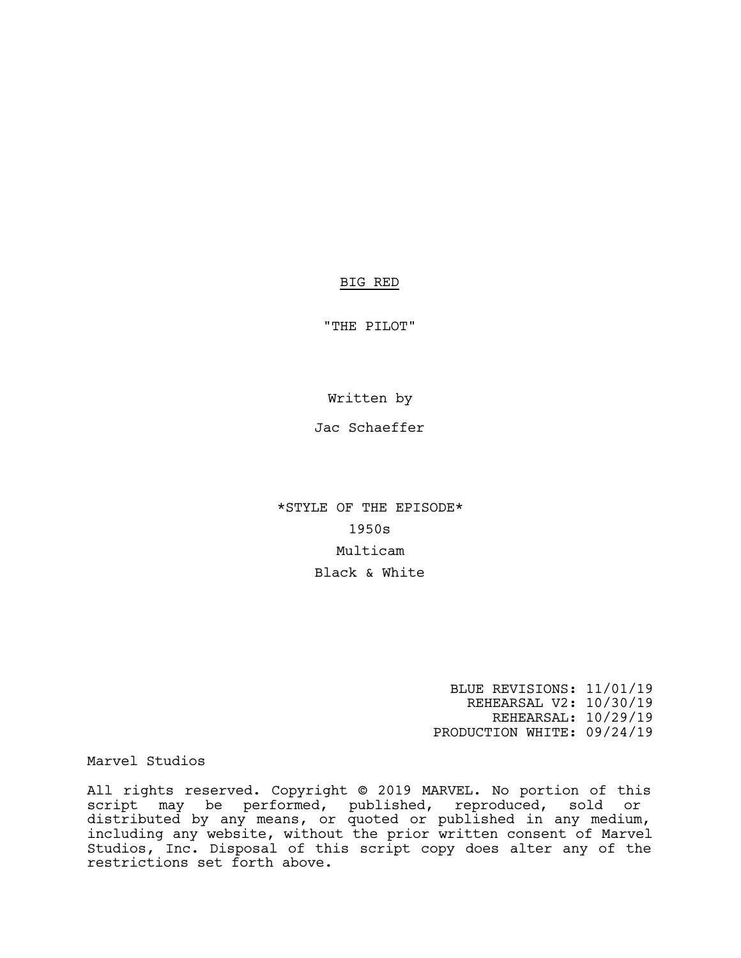# BIG RED

"THE PILOT"

Written by

Jac Schaeffer

\*STYLE OF THE EPISODE\* 1950s Multicam Black & White

> BLUE REVISIONS: 11/01/19 REHEARSAL V2: 10/30/19 REHEARSAL: 10/29/19 PRODUCTION WHITE: 09/24/19

Marvel Studios

All rights reserved. Copyright © 2019 MARVEL. No portion of this script may be performed, published, reproduced, sold or distributed by any means, or quoted or published in any medium, including any website, without the prior written consent of Marvel Studios, Inc. Disposal of this script copy does alter any of the restrictions set forth above.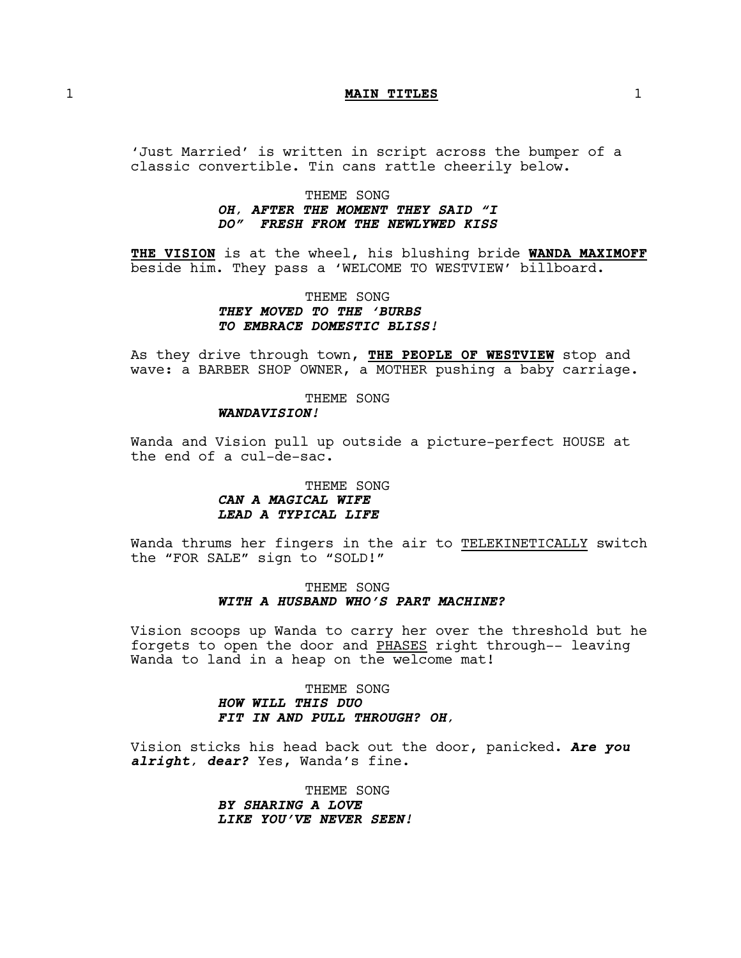### 1 **MAIN TITLES** 1

'Just Married' is written in script across the bumper of a classic convertible. Tin cans rattle cheerily below.

### THEME SONG *OH, AFTER THE MOMENT THEY SAID "I DO" FRESH FROM THE NEWLYWED KISS*

**THE VISION** is at the wheel, his blushing bride **WANDA MAXIMOFF** beside him. They pass a 'WELCOME TO WESTVIEW' billboard.

# THEME SONG *THEY MOVED TO THE 'BURBS TO EMBRACE DOMESTIC BLISS!*

As they drive through town, **THE PEOPLE OF WESTVIEW** stop and wave: a BARBER SHOP OWNER, a MOTHER pushing a baby carriage.

#### THEME SONG

### *WANDAVISION!*

Wanda and Vision pull up outside a picture-perfect HOUSE at the end of a cul-de-sac.

# THEME SONG *CAN A MAGICAL WIFE LEAD A TYPICAL LIFE*

Wanda thrums her fingers in the air to TELEKINETICALLY switch the "FOR SALE" sign to "SOLD!"

### THEME SONG *WITH A HUSBAND WHO'S PART MACHINE?*

Vision scoops up Wanda to carry her over the threshold but he forgets to open the door and PHASES right through-- leaving Wanda to land in a heap on the welcome mat!

# THEME SONG *HOW WILL THIS DUO FIT IN AND PULL THROUGH? OH,*

Vision sticks his head back out the door, panicked. *Are you alright, dear?* Yes, Wanda's fine.

> THEME SONG *BY SHARING A LOVE LIKE YOU'VE NEVER SEEN!*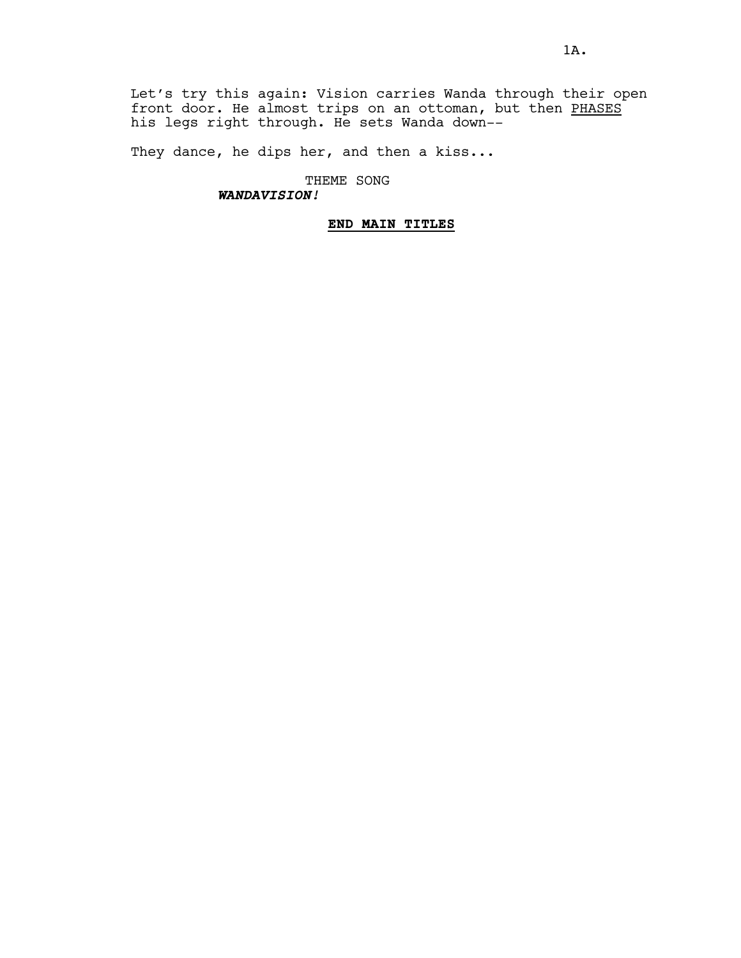Let's try this again: Vision carries Wanda through their open front door. He almost trips on an ottoman, but then PHASES his legs right through. He sets Wanda down--

They dance, he dips her, and then a kiss...

THEME SONG

*WANDAVISION!*

### **END MAIN TITLES**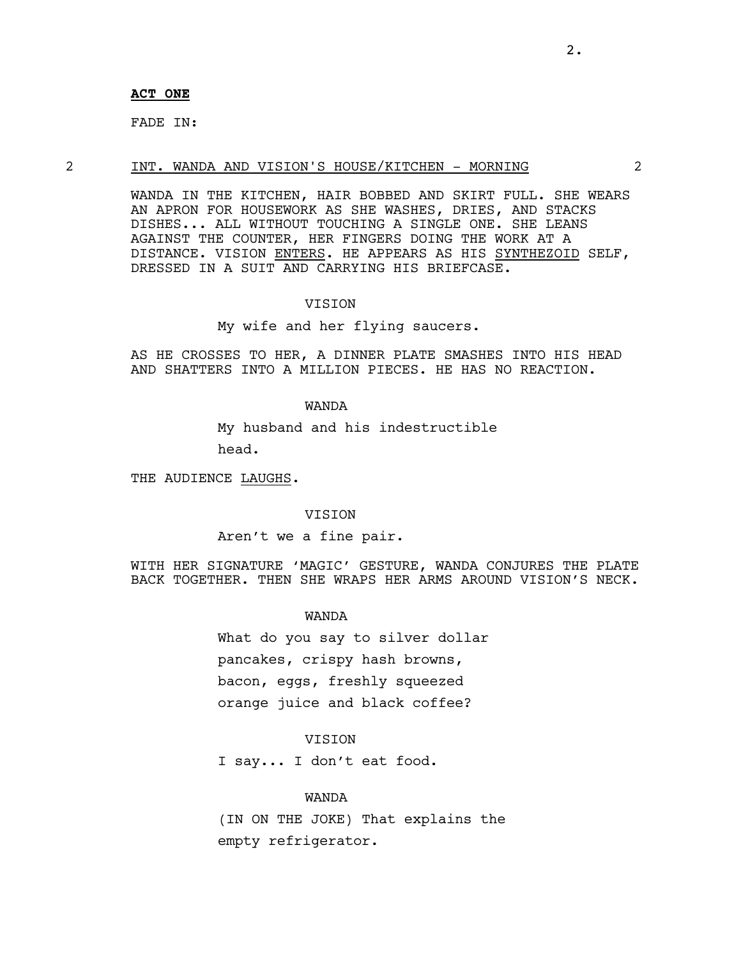FADE IN:

### 2 INT. WANDA AND VISION'S HOUSE/KITCHEN - MORNING 2

WANDA IN THE KITCHEN, HAIR BOBBED AND SKIRT FULL. SHE WEARS AN APRON FOR HOUSEWORK AS SHE WASHES, DRIES, AND STACKS DISHES... ALL WITHOUT TOUCHING A SINGLE ONE. SHE LEANS AGAINST THE COUNTER, HER FINGERS DOING THE WORK AT A DISTANCE. VISION ENTERS. HE APPEARS AS HIS SYNTHEZOID SELF, DRESSED IN A SUIT AND CARRYING HIS BRIEFCASE.

#### **VISION**

My wife and her flying saucers.

AS HE CROSSES TO HER, A DINNER PLATE SMASHES INTO HIS HEAD AND SHATTERS INTO A MILLION PIECES. HE HAS NO REACTION.

### WANDA

My husband and his indestructible head.

THE AUDIENCE LAUGHS.

**VISION** 

Aren't we a fine pair.

WITH HER SIGNATURE 'MAGIC' GESTURE, WANDA CONJURES THE PLATE BACK TOGETHER. THEN SHE WRAPS HER ARMS AROUND VISION'S NECK.

WANDA

What do you say to silver dollar pancakes, crispy hash browns, bacon, eggs, freshly squeezed orange juice and black coffee?

#### VISION

I say... I don't eat food.

### WANDA

(IN ON THE JOKE) That explains the empty refrigerator.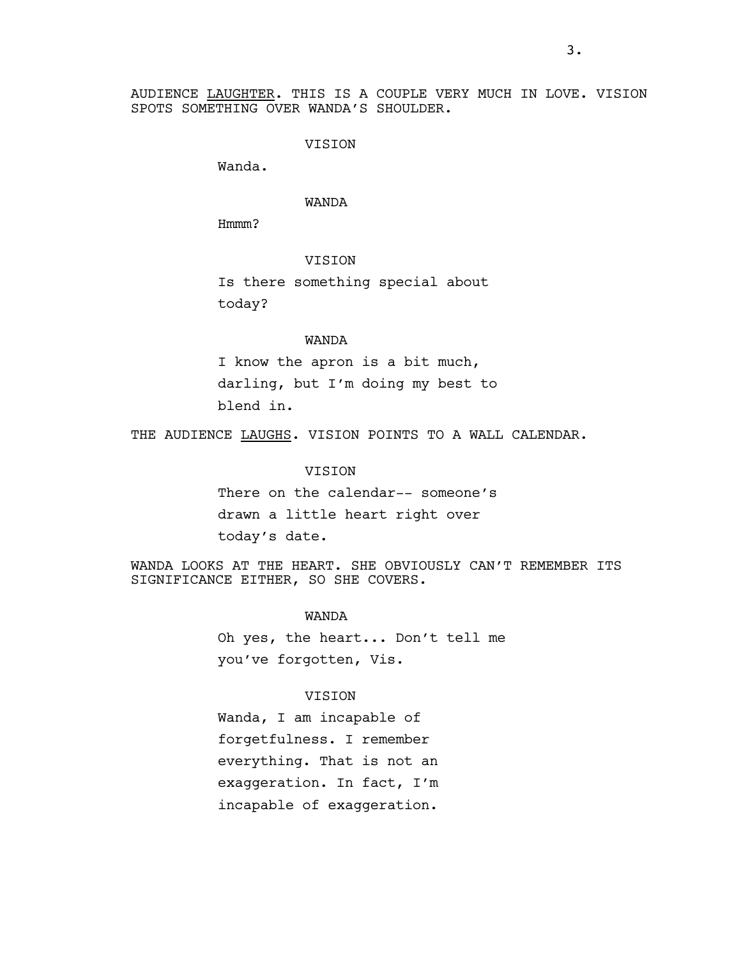AUDIENCE LAUGHTER. THIS IS A COUPLE VERY MUCH IN LOVE. VISION SPOTS SOMETHING OVER WANDA'S SHOULDER.

**VISION** 

Wanda.

### WANDA

Hmmm?

VISION

Is there something special about today?

### WANDA

I know the apron is a bit much, darling, but I'm doing my best to blend in.

THE AUDIENCE LAUGHS. VISION POINTS TO A WALL CALENDAR.

#### VISION

There on the calendar-- someone's drawn a little heart right over today's date.

WANDA LOOKS AT THE HEART. SHE OBVIOUSLY CAN'T REMEMBER ITS SIGNIFICANCE EITHER, SO SHE COVERS.

### WANDA

Oh yes, the heart... Don't tell me you've forgotten, Vis.

### VISION

Wanda, I am incapable of forgetfulness. I remember everything. That is not an exaggeration. In fact, I'm incapable of exaggeration.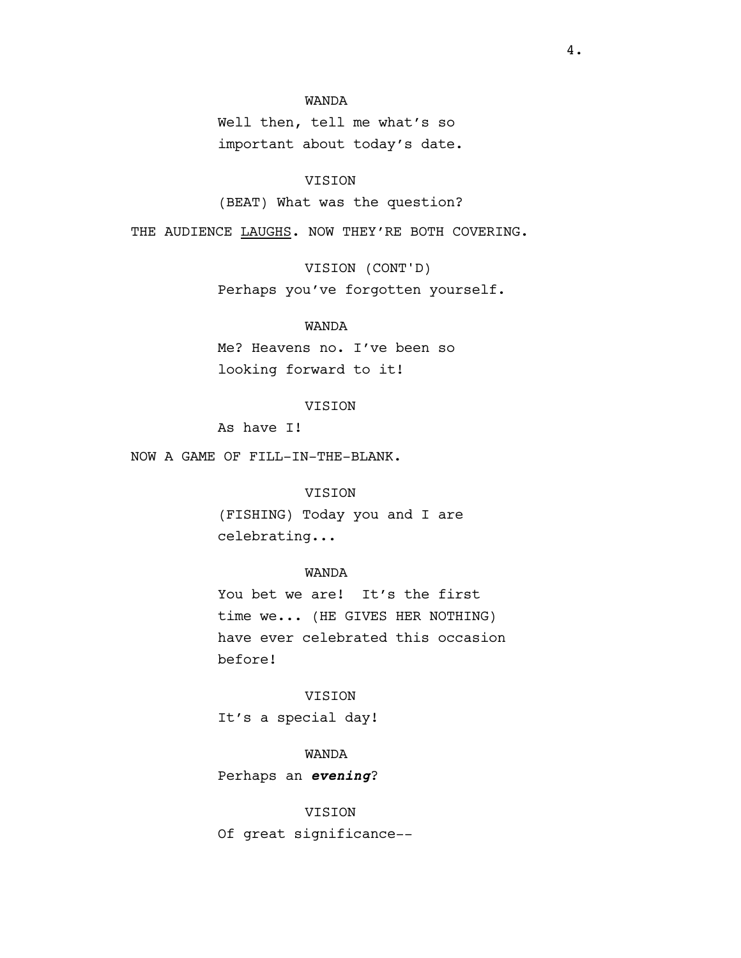Well then, tell me what's so important about today's date.

### VISION

(BEAT) What was the question?

THE AUDIENCE LAUGHS. NOW THEY'RE BOTH COVERING.

VISION (CONT'D)

Perhaps you've forgotten yourself.

# WANDA

Me? Heavens no. I've been so looking forward to it!

### VISION

As have I!

NOW A GAME OF FILL-IN-THE-BLANK.

### VISION

(FISHING) Today you and I are celebrating...

WANDA

You bet we are! It's the first time we... (HE GIVES HER NOTHING) have ever celebrated this occasion before!

# VISION

It's a special day!

WANDA

Perhaps an *evening*?

# VISION

Of great significance--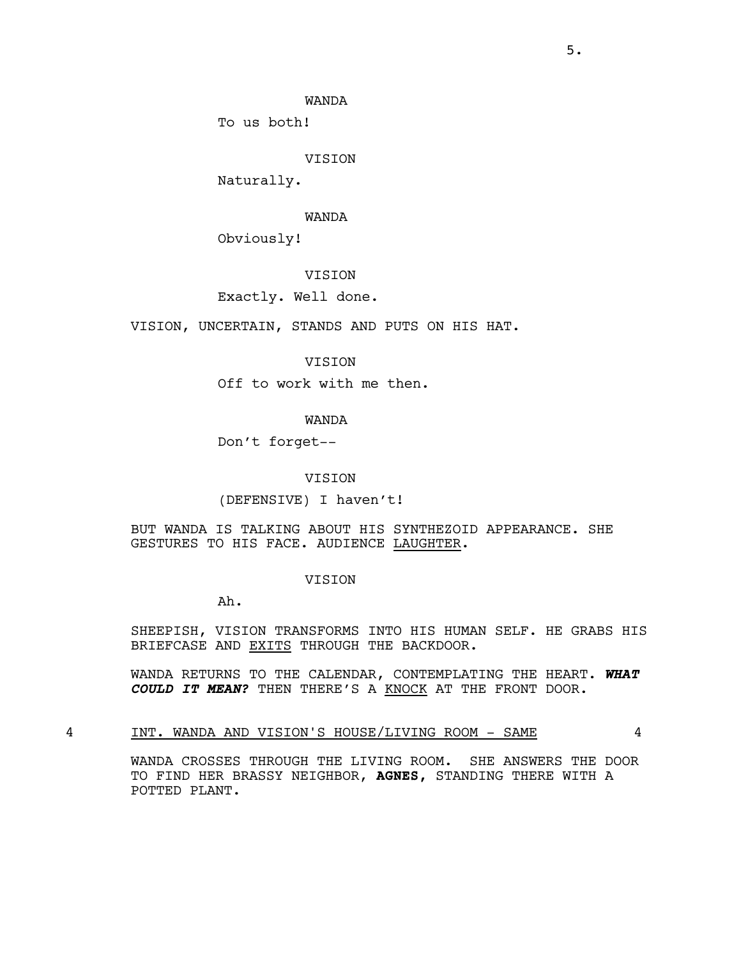To us both!

VISION

Naturally.

WANDA

Obviously!

VISION

### Exactly. Well done.

VISION, UNCERTAIN, STANDS AND PUTS ON HIS HAT.

VISION

Off to work with me then.

WANDA

Don't forget--

VISION

(DEFENSIVE) I haven't!

BUT WANDA IS TALKING ABOUT HIS SYNTHEZOID APPEARANCE. SHE GESTURES TO HIS FACE. AUDIENCE LAUGHTER.

#### VISION

Ah.

SHEEPISH, VISION TRANSFORMS INTO HIS HUMAN SELF. HE GRABS HIS BRIEFCASE AND EXITS THROUGH THE BACKDOOR.

WANDA RETURNS TO THE CALENDAR, CONTEMPLATING THE HEART. *WHAT COULD IT MEAN?* THEN THERE'S A KNOCK AT THE FRONT DOOR.

4 INT. WANDA AND VISION'S HOUSE/LIVING ROOM - SAME 4

WANDA CROSSES THROUGH THE LIVING ROOM. SHE ANSWERS THE DOOR TO FIND HER BRASSY NEIGHBOR, **AGNES,** STANDING THERE WITH A POTTED PLANT.

 $\sim$  5.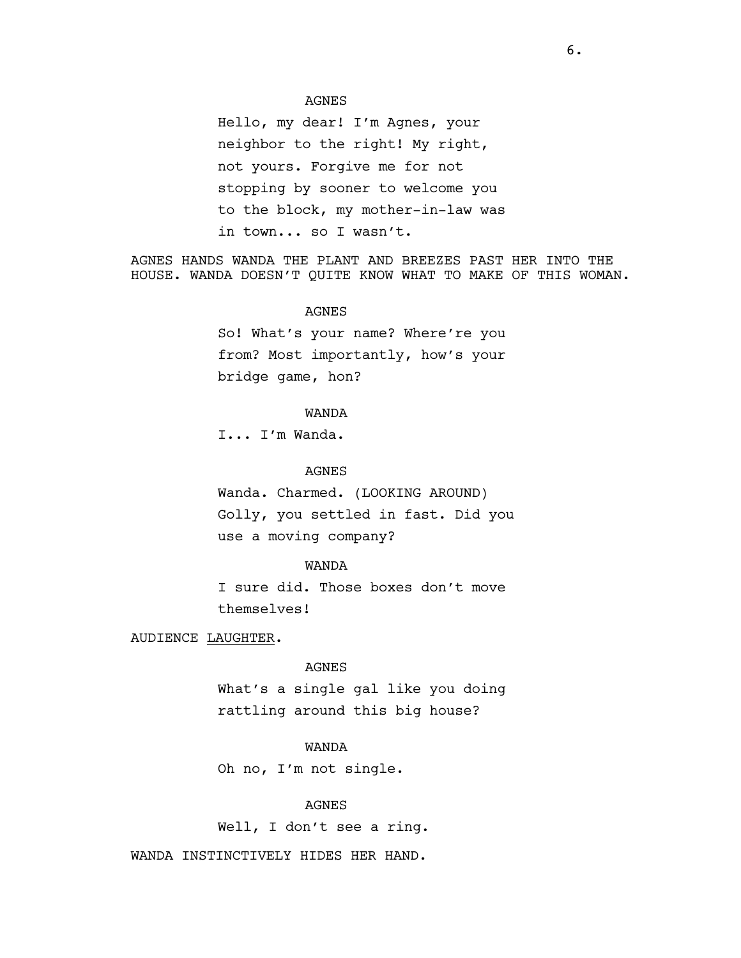### AGNES

Hello, my dear! I'm Agnes, your neighbor to the right! My right, not yours. Forgive me for not stopping by sooner to welcome you to the block, my mother-in-law was in town... so I wasn't.

AGNES HANDS WANDA THE PLANT AND BREEZES PAST HER INTO THE HOUSE. WANDA DOESN'T QUITE KNOW WHAT TO MAKE OF THIS WOMAN.

#### AGNES

So! What's your name? Where're you from? Most importantly, how's your bridge game, hon?

### WANDA

I... I'm Wanda.

#### AGNES

Wanda. Charmed. (LOOKING AROUND) Golly, you settled in fast. Did you use a moving company?

# WANDA

I sure did. Those boxes don't move themselves!

AUDIENCE LAUGHTER.

#### AGNES

What's a single gal like you doing rattling around this big house?

# WANDA

Oh no, I'm not single.

### AGNES

Well, I don't see a ring.

WANDA INSTINCTIVELY HIDES HER HAND.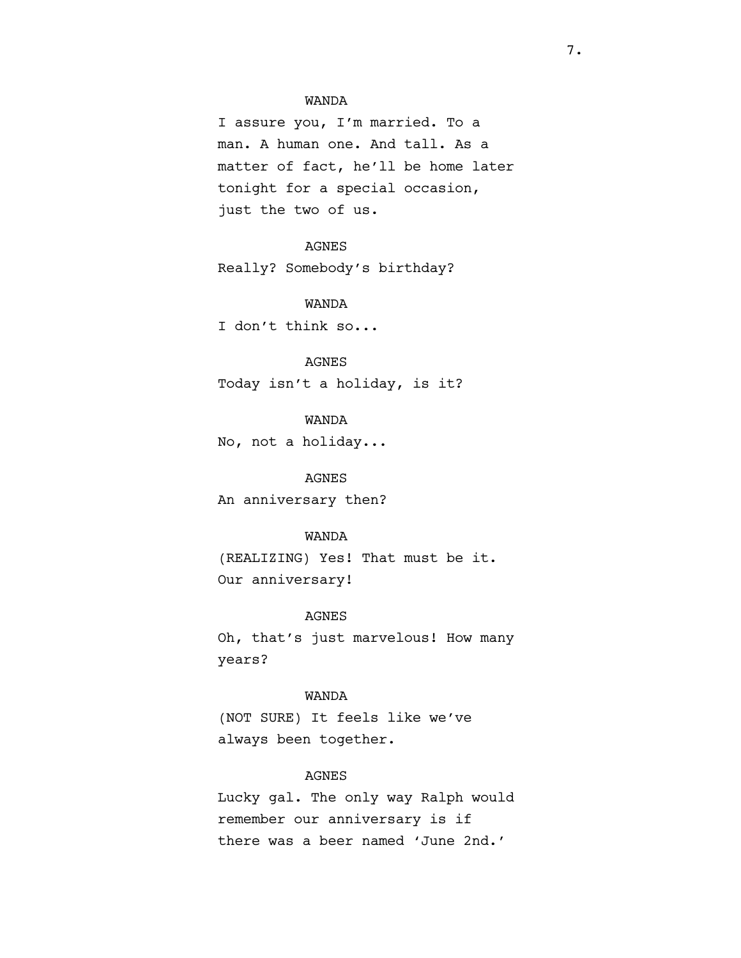I assure you, I'm married. To a man. A human one. And tall. As a matter of fact, he'll be home later tonight for a special occasion, just the two of us.

# AGNES

Really? Somebody's birthday?

### WANDA

I don't think so...

# AGNES

Today isn't a holiday, is it?

# WANDA

No, not a holiday...

# AGNES

An anniversary then?

# WANDA

(REALIZING) Yes! That must be it. Our anniversary!

### AGNES

Oh, that's just marvelous! How many years?

# WANDA

(NOT SURE) It feels like we've always been together.

# AGNES

Lucky gal. The only way Ralph would remember our anniversary is if there was a beer named 'June 2nd.'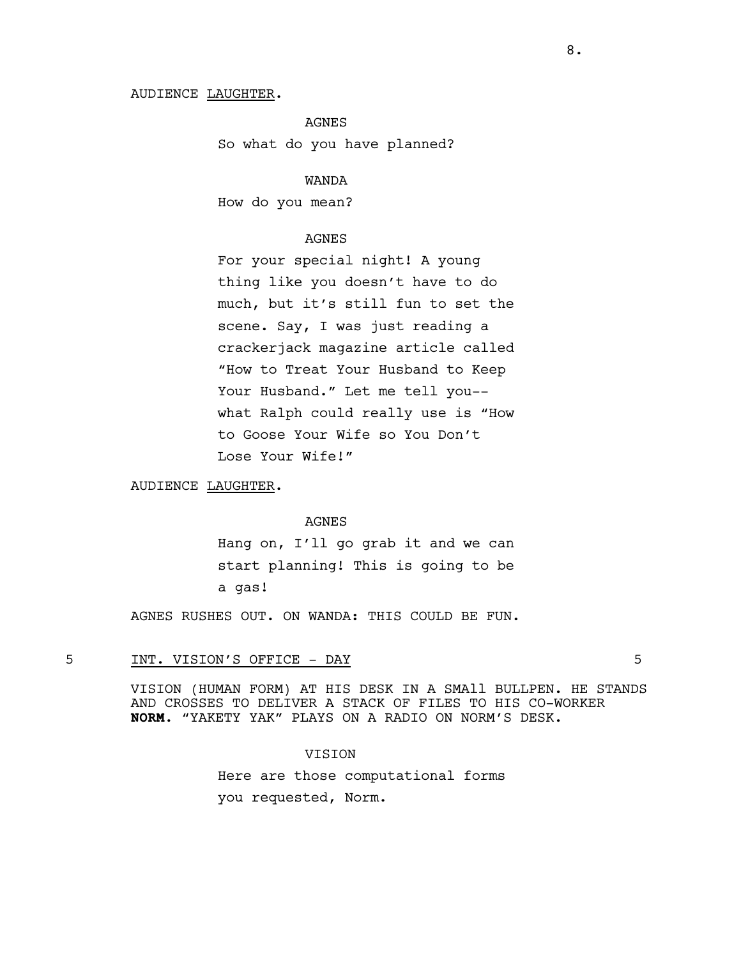### AUDIENCE LAUGHTER.

AGNES So what do you have planned?

WANDA

How do you mean?

### AGNES

For your special night! A young thing like you doesn't have to do much, but it's still fun to set the scene. Say, I was just reading a crackerjack magazine article called "How to Treat Your Husband to Keep Your Husband." Let me tell you- what Ralph could really use is "How to Goose Your Wife so You Don't Lose Your Wife!"

AUDIENCE LAUGHTER.

# AGNES

Hang on, I'll go grab it and we can start planning! This is going to be a gas!

AGNES RUSHES OUT. ON WANDA: THIS COULD BE FUN.

### 5 INT. VISION'S OFFICE - DAY 5

VISION (HUMAN FORM) AT HIS DESK IN A SMAll BULLPEN. HE STANDS AND CROSSES TO DELIVER A STACK OF FILES TO HIS CO-WORKER **NORM**. "YAKETY YAK" PLAYS ON A RADIO ON NORM'S DESK.

#### VISION

Here are those computational forms you requested, Norm.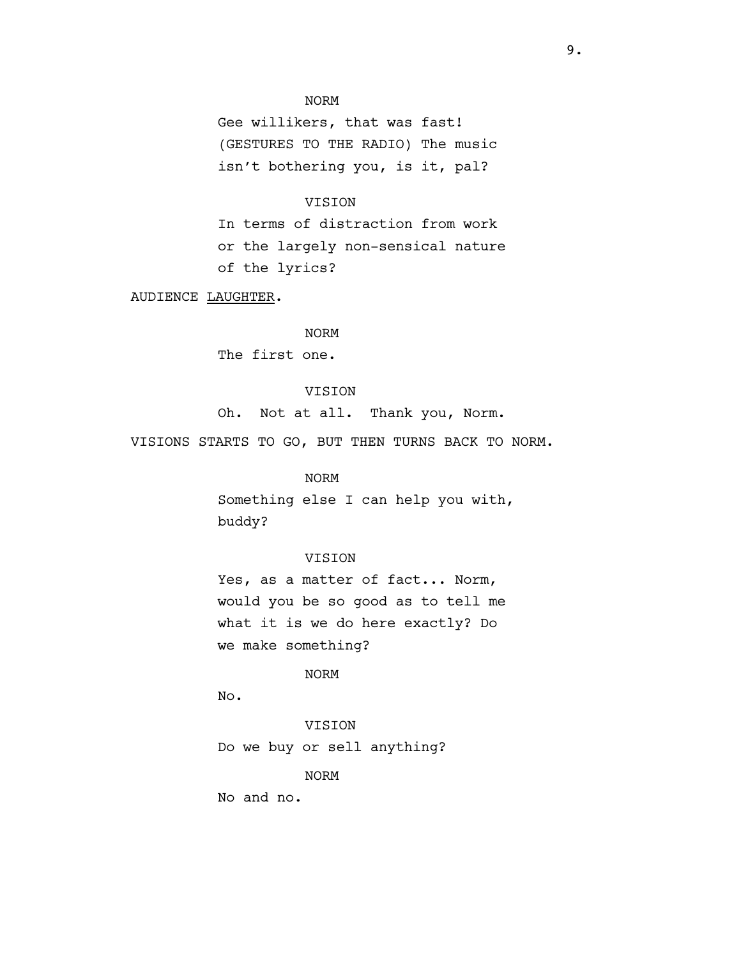# NORM

Gee willikers, that was fast! (GESTURES TO THE RADIO) The music isn't bothering you, is it, pal?

# **VISION**

In terms of distraction from work or the largely non-sensical nature of the lyrics?

AUDIENCE LAUGHTER.

### NORM

The first one.

#### VISION

Oh. Not at all. Thank you, Norm.

VISIONS STARTS TO GO, BUT THEN TURNS BACK TO NORM.

### NORM

Something else I can help you with, buddy?

### VISION

Yes, as a matter of fact... Norm, would you be so good as to tell me what it is we do here exactly? Do we make something?

### NORM

No.

# VISION

Do we buy or sell anything?

#### NORM

No and no.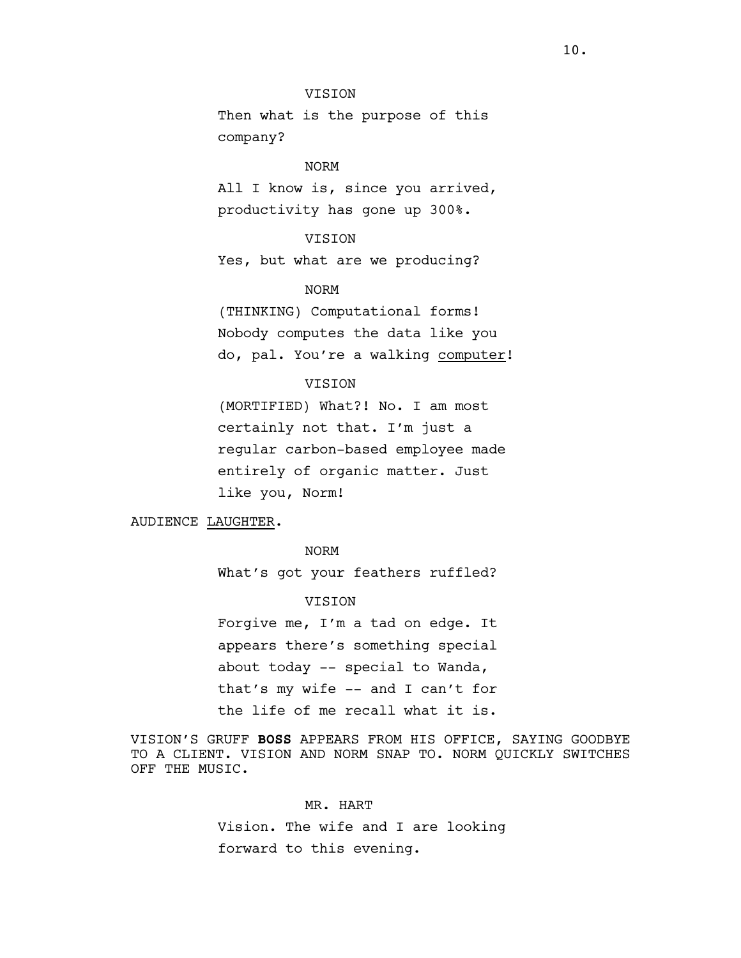VISION

Then what is the purpose of this company?

# NORM

All I know is, since you arrived, productivity has gone up 300%.

### VISION

Yes, but what are we producing?

# NORM

(THINKING) Computational forms! Nobody computes the data like you do, pal. You're a walking computer!

### **VISION**

(MORTIFIED) What?! No. I am most certainly not that. I'm just a regular carbon-based employee made entirely of organic matter. Just like you, Norm!

AUDIENCE LAUGHTER.

NORM

What's got your feathers ruffled?

### **VISION**

Forgive me, I'm a tad on edge. It appears there's something special about today -- special to Wanda, that's my wife -- and I can't for the life of me recall what it is.

VISION'S GRUFF **BOSS** APPEARS FROM HIS OFFICE, SAYING GOODBYE TO A CLIENT. VISION AND NORM SNAP TO. NORM QUICKLY SWITCHES OFF THE MUSIC.

### MR. HART

Vision. The wife and I are looking forward to this evening.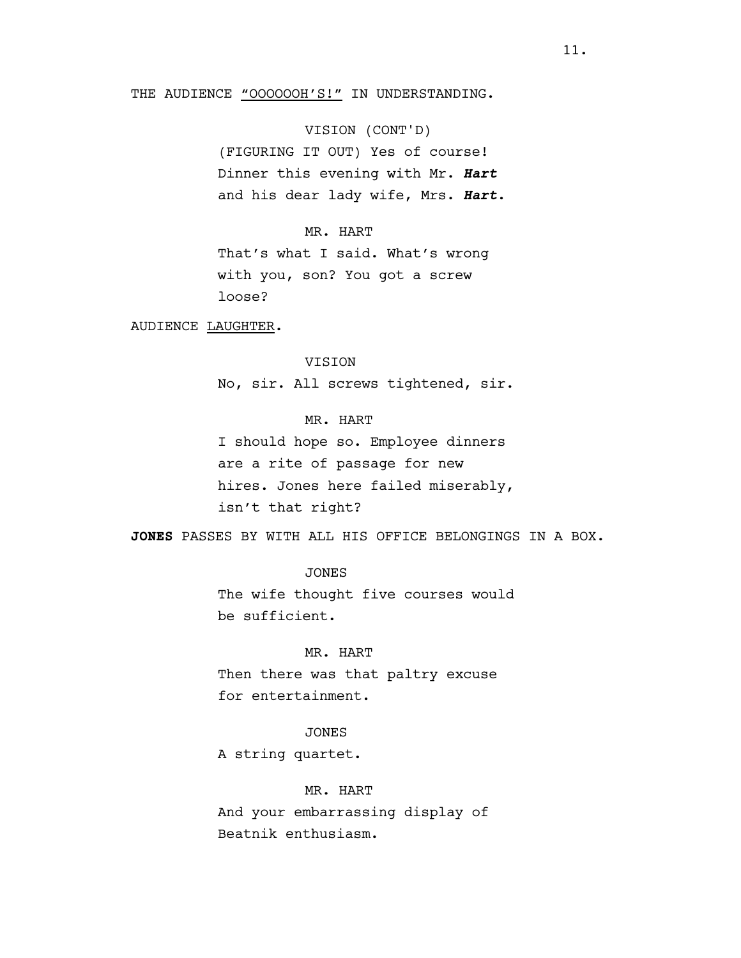# THE AUDIENCE "OOOOOOH'S!" IN UNDERSTANDING.

VISION (CONT'D) (FIGURING IT OUT) Yes of course! Dinner this evening with Mr. *Hart* and his dear lady wife, Mrs. *Hart*.

### MR. HART

That's what I said. What's wrong with you, son? You got a screw loose?

AUDIENCE LAUGHTER.

#### **VISION**

No, sir. All screws tightened, sir.

# MR. HART

I should hope so. Employee dinners are a rite of passage for new hires. Jones here failed miserably, isn't that right?

**JONES** PASSES BY WITH ALL HIS OFFICE BELONGINGS IN A BOX.

# JONES

The wife thought five courses would be sufficient.

# MR. HART

Then there was that paltry excuse for entertainment.

# JONES

A string quartet.

#### MR. HART

And your embarrassing display of Beatnik enthusiasm.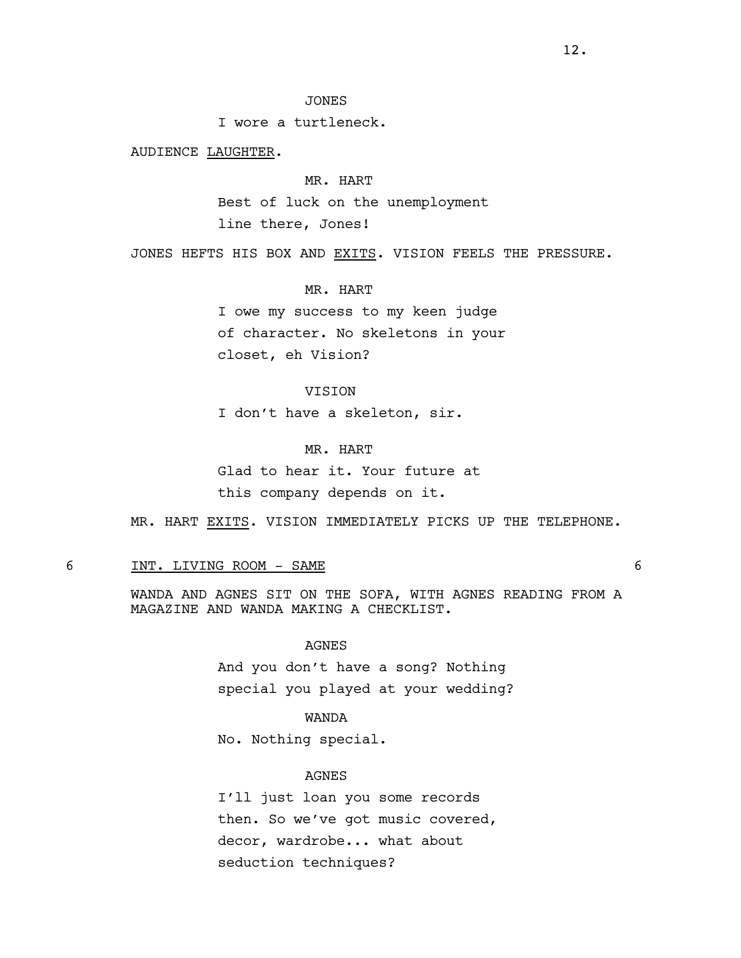I wore a turtleneck.

AUDIENCE LAUGHTER.

# MR. HART Best of luck on the unemployment line there, Jones!

JONES HEFTS HIS BOX AND EXITS. VISION FEELS THE PRESSURE.

### MR. HART

I owe my success to my keen judge of character. No skeletons in your closet, eh Vision?

#### VISION

I don't have a skeleton, sir.

# MR. HART

Glad to hear it. Your future at this company depends on it.

MR. HART EXITS. VISION IMMEDIATELY PICKS UP THE TELEPHONE.

### 6 INT. LIVING ROOM - SAME 6

WANDA AND AGNES SIT ON THE SOFA, WITH AGNES READING FROM A MAGAZINE AND WANDA MAKING A CHECKLIST.

# AGNES

And you don't have a song? Nothing special you played at your wedding?

### WANDA

No. Nothing special.

### AGNES

I'll just loan you some records then. So we've got music covered, decor, wardrobe... what about seduction techniques?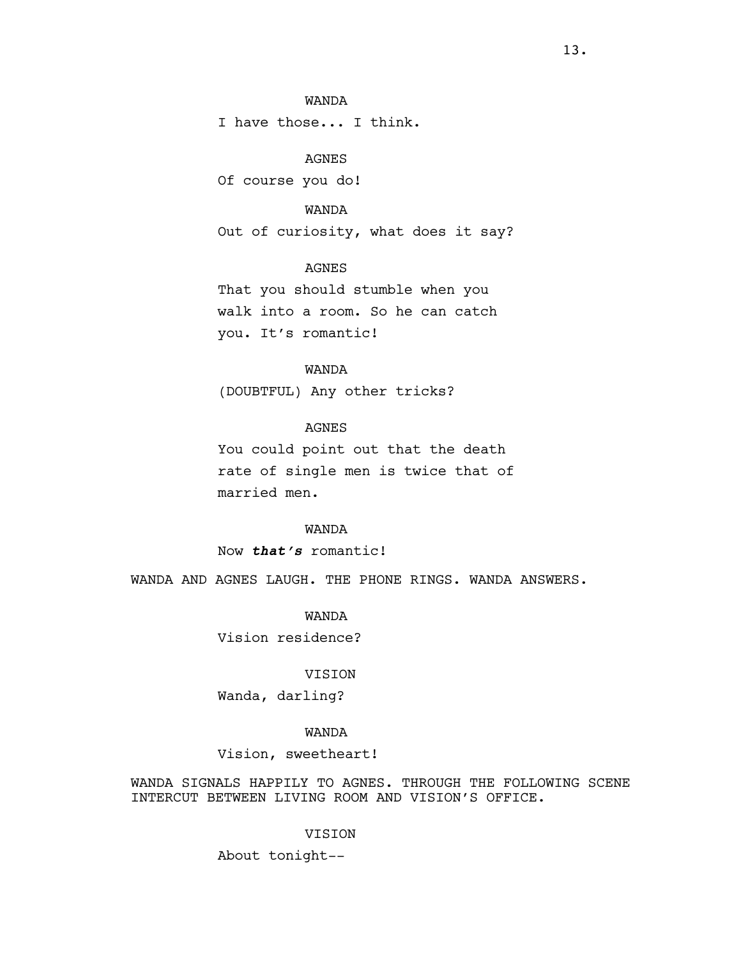I have those... I think.

# AGNES

Of course you do!

# WANDA

Out of curiosity, what does it say?

# AGNES

That you should stumble when you walk into a room. So he can catch you. It's romantic!

# WANDA

(DOUBTFUL) Any other tricks?

# AGNES

You could point out that the death rate of single men is twice that of married men.

# WANDA

Now *that's* romantic!

WANDA AND AGNES LAUGH. THE PHONE RINGS. WANDA ANSWERS.

WANDA

Vision residence?

#### VISION

Wanda, darling?

### WANDA

### Vision, sweetheart!

WANDA SIGNALS HAPPILY TO AGNES. THROUGH THE FOLLOWING SCENE INTERCUT BETWEEN LIVING ROOM AND VISION'S OFFICE.

#### VISION

About tonight--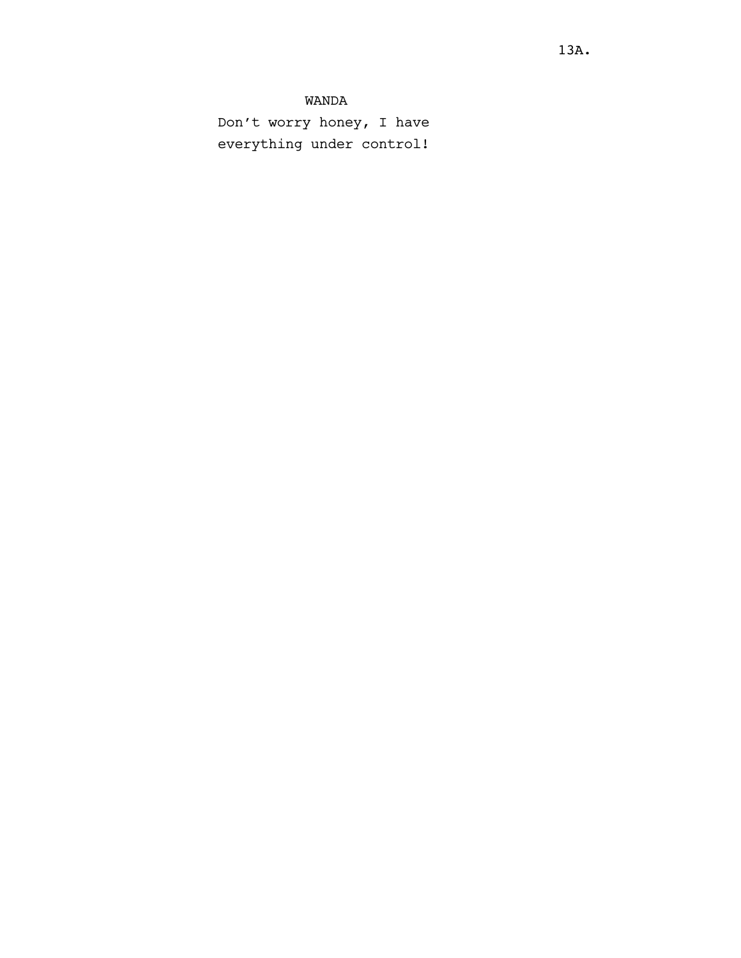Don't worry honey, I have everything under control!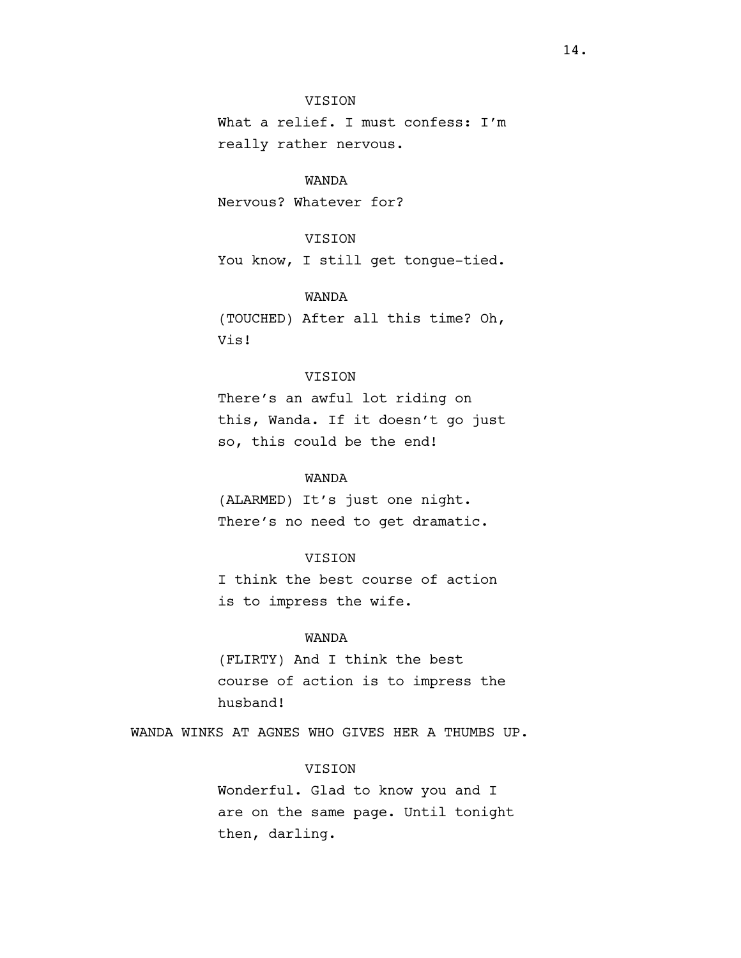# VISION

What a relief. I must confess: I'm really rather nervous.

# WANDA

Nervous? Whatever for?

### VISION

You know, I still get tongue-tied.

### WANDA

(TOUCHED) After all this time? Oh, Vis!

# VISION

There's an awful lot riding on this, Wanda. If it doesn't go just so, this could be the end!

# WANDA

(ALARMED) It's just one night. There's no need to get dramatic.

### VISION

I think the best course of action is to impress the wife.

### WANDA

(FLIRTY) And I think the best course of action is to impress the husband!

WANDA WINKS AT AGNES WHO GIVES HER A THUMBS UP.

# VISION

Wonderful. Glad to know you and I are on the same page. Until tonight then, darling.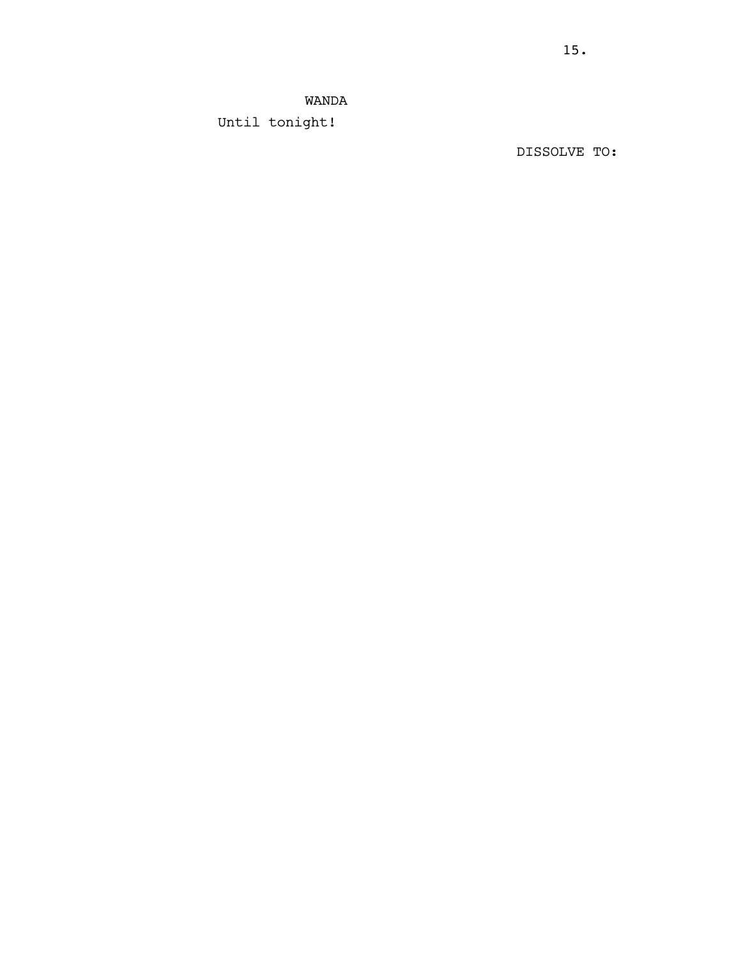Until tonight!

DISSOLVE TO: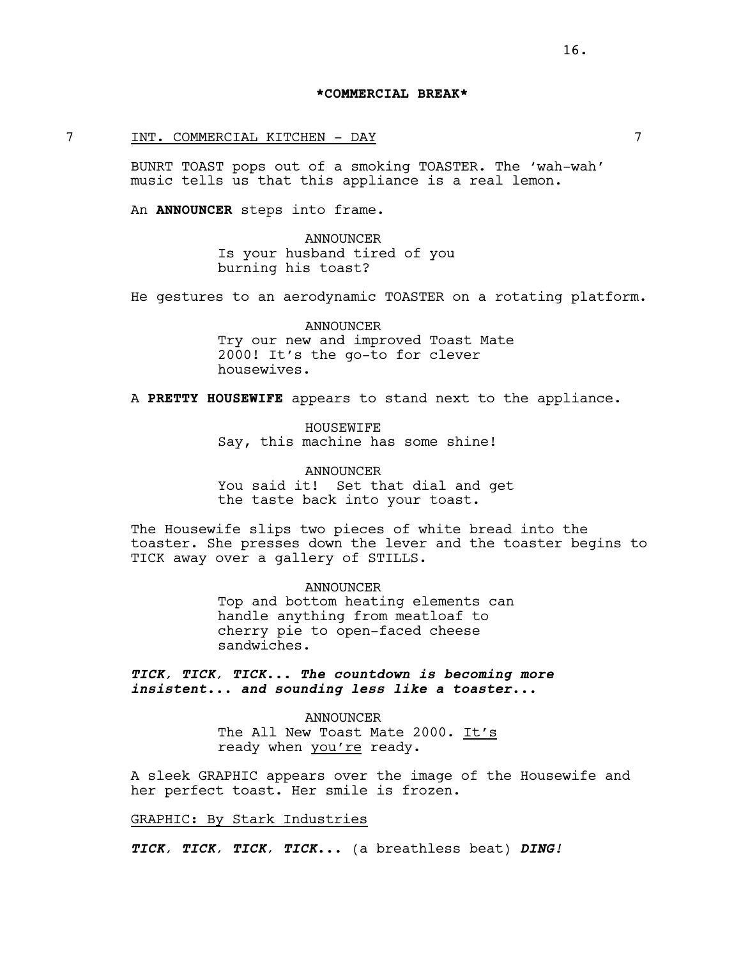### **\*COMMERCIAL BREAK\***

### 7 INT. COMMERCIAL KITCHEN - DAY 7

BUNRT TOAST pops out of a smoking TOASTER. The 'wah-wah' music tells us that this appliance is a real lemon.

An **ANNOUNCER** steps into frame.

ANNOUNCER Is your husband tired of you burning his toast?

He gestures to an aerodynamic TOASTER on a rotating platform.

ANNOUNCER Try our new and improved Toast Mate 2000! It's the go-to for clever housewives.

A **PRETTY HOUSEWIFE** appears to stand next to the appliance.

HOUSEWIFE Say, this machine has some shine!

ANNOUNCER You said it! Set that dial and get the taste back into your toast.

The Housewife slips two pieces of white bread into the toaster. She presses down the lever and the toaster begins to TICK away over a gallery of STILLS.

> ANNOUNCER Top and bottom heating elements can handle anything from meatloaf to cherry pie to open-faced cheese sandwiches.

*TICK, TICK, TICK... The countdown is becoming more insistent... and sounding less like a toaster...*

> ANNOUNCER The All New Toast Mate 2000. It's ready when you're ready.

A sleek GRAPHIC appears over the image of the Housewife and her perfect toast. Her smile is frozen.

GRAPHIC: By Stark Industries

*TICK, TICK, TICK, TICK...* (a breathless beat) *DING!*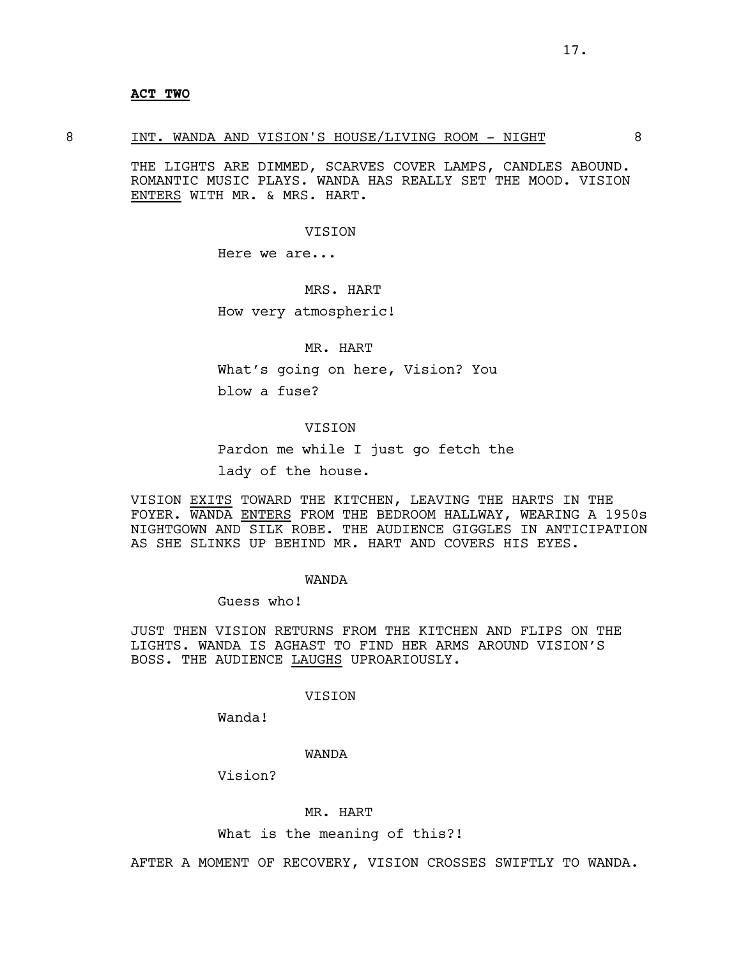### **ACT TWO**

#### 8 INT. WANDA AND VISION'S HOUSE/LIVING ROOM - NIGHT 8

THE LIGHTS ARE DIMMED, SCARVES COVER LAMPS, CANDLES ABOUND. ROMANTIC MUSIC PLAYS. WANDA HAS REALLY SET THE MOOD. VISION ENTERS WITH MR. & MRS. HART.

#### VISION

Here we are...

### MRS. HART

How very atmospheric!

### MR. HART

What's going on here, Vision? You blow a fuse?

#### VISION

Pardon me while I just go fetch the lady of the house.

VISION EXITS TOWARD THE KITCHEN, LEAVING THE HARTS IN THE FOYER. WANDA ENTERS FROM THE BEDROOM HALLWAY, WEARING A 1950s NIGHTGOWN AND SILK ROBE. THE AUDIENCE GIGGLES IN ANTICIPATION AS SHE SLINKS UP BEHIND MR. HART AND COVERS HIS EYES.

### WANDA

#### Guess who!

JUST THEN VISION RETURNS FROM THE KITCHEN AND FLIPS ON THE LIGHTS. WANDA IS AGHAST TO FIND HER ARMS AROUND VISION'S BOSS. THE AUDIENCE LAUGHS UPROARIOUSLY.

#### VISION

Wanda!

#### WANDA

Vision?

### MR. HART

What is the meaning of this?!

AFTER A MOMENT OF RECOVERY, VISION CROSSES SWIFTLY TO WANDA.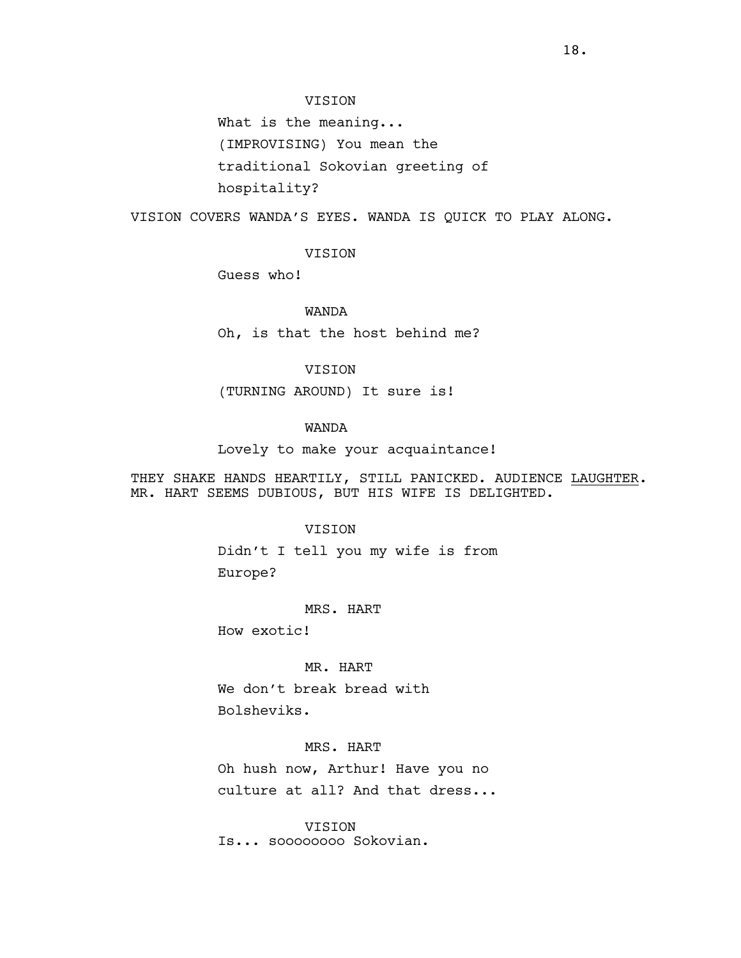What is the meaning... (IMPROVISING) You mean the traditional Sokovian greeting of hospitality?

VISION COVERS WANDA'S EYES. WANDA IS QUICK TO PLAY ALONG.

VISION

Guess who!

WANDA

Oh, is that the host behind me?

# VISION

(TURNING AROUND) It sure is!

### WANDA

Lovely to make your acquaintance!

THEY SHAKE HANDS HEARTILY, STILL PANICKED. AUDIENCE LAUGHTER. MR. HART SEEMS DUBIOUS, BUT HIS WIFE IS DELIGHTED.

### VISION

Didn't I tell you my wife is from Europe?

#### MRS. HART

How exotic!

#### MR. HART

We don't break bread with Bolsheviks.

# MRS. HART

Oh hush now, Arthur! Have you no culture at all? And that dress...

VISION Is... soooooooo Sokovian.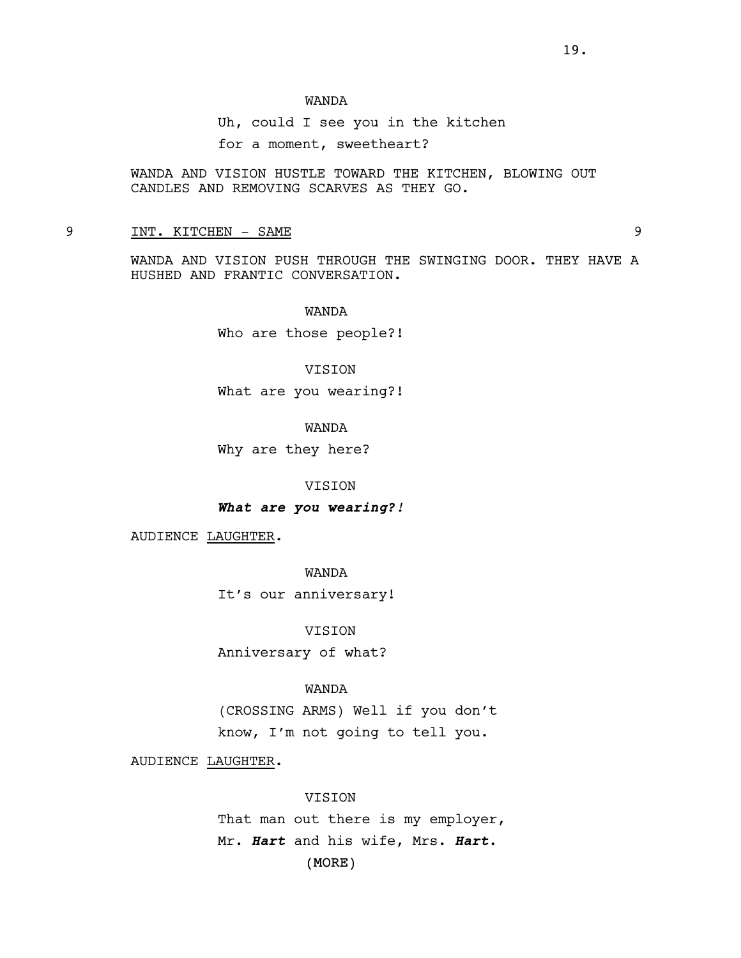Uh, could I see you in the kitchen for a moment, sweetheart?

WANDA AND VISION HUSTLE TOWARD THE KITCHEN, BLOWING OUT CANDLES AND REMOVING SCARVES AS THEY GO.

### 9 INT. KITCHEN – SAME 9

WANDA AND VISION PUSH THROUGH THE SWINGING DOOR. THEY HAVE A HUSHED AND FRANTIC CONVERSATION.

WANDA

Who are those people?!

# VISION

What are you wearing?!

WANDA

Why are they here?

### VISION

*What are you wearing?!*

AUDIENCE LAUGHTER.

WANDA

It's our anniversary!

VISION

Anniversary of what?

# WANDA

(CROSSING ARMS) Well if you don't know, I'm not going to tell you.

AUDIENCE LAUGHTER.

# VISION

That man out there is my employer, Mr. *Hart* and his wife, Mrs. *Hart*.

(MORE)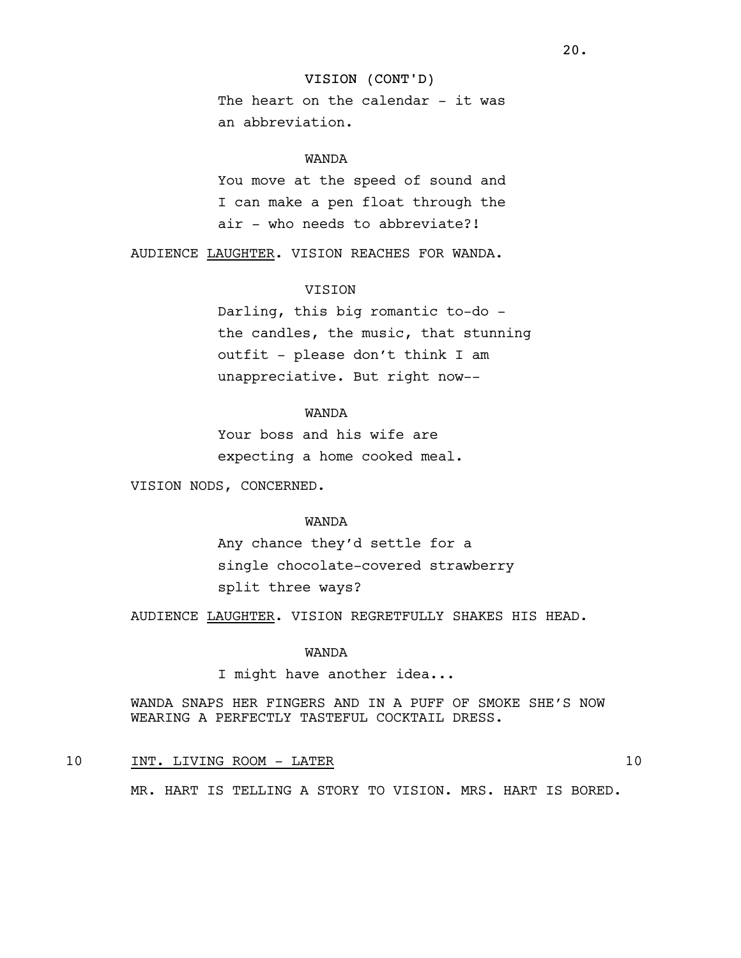# VISION (CONT'D)

The heart on the calendar - it was an abbreviation.

# WANDA

You move at the speed of sound and I can make a pen float through the air - who needs to abbreviate?!

AUDIENCE LAUGHTER. VISION REACHES FOR WANDA.

# VISION

Darling, this big romantic to-do the candles, the music, that stunning outfit - please don't think I am unappreciative. But right now--

### WANDA

Your boss and his wife are expecting a home cooked meal.

VISION NODS, CONCERNED.

# WANDA

Any chance they'd settle for a single chocolate-covered strawberry split three ways?

AUDIENCE LAUGHTER. VISION REGRETFULLY SHAKES HIS HEAD.

### WANDA

I might have another idea...

WANDA SNAPS HER FINGERS AND IN A PUFF OF SMOKE SHE'S NOW WEARING A PERFECTLY TASTEFUL COCKTAIL DRESS.

### 10 INT. LIVING ROOM - LATER 10

MR. HART IS TELLING A STORY TO VISION. MRS. HART IS BORED.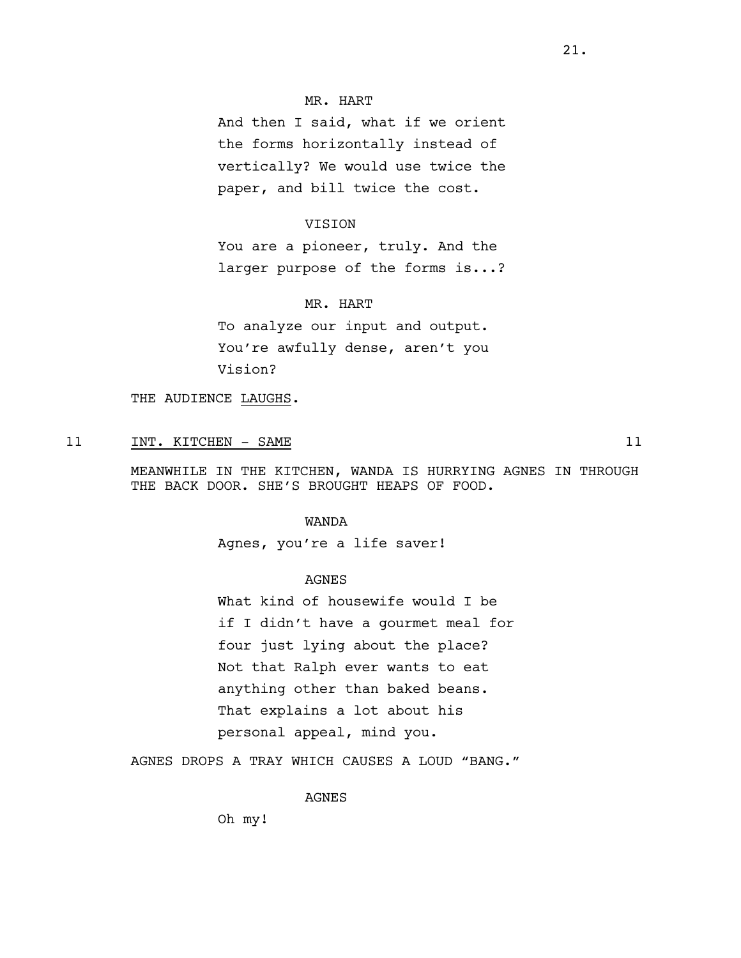### MR. HART

And then I said, what if we orient the forms horizontally instead of vertically? We would use twice the paper, and bill twice the cost.

### VISION

You are a pioneer, truly. And the larger purpose of the forms is...?

### MR. HART

To analyze our input and output. You're awfully dense, aren't you Vision?

THE AUDIENCE LAUGHS.

### 11 INT. KITCHEN - SAME 11

MEANWHILE IN THE KITCHEN, WANDA IS HURRYING AGNES IN THROUGH THE BACK DOOR. SHE'S BROUGHT HEAPS OF FOOD.

### WANDA

Agnes, you're a life saver!

### AGNES

What kind of housewife would I be if I didn't have a gourmet meal for four just lying about the place? Not that Ralph ever wants to eat anything other than baked beans. That explains a lot about his personal appeal, mind you.

AGNES DROPS A TRAY WHICH CAUSES A LOUD "BANG."

AGNES

Oh my!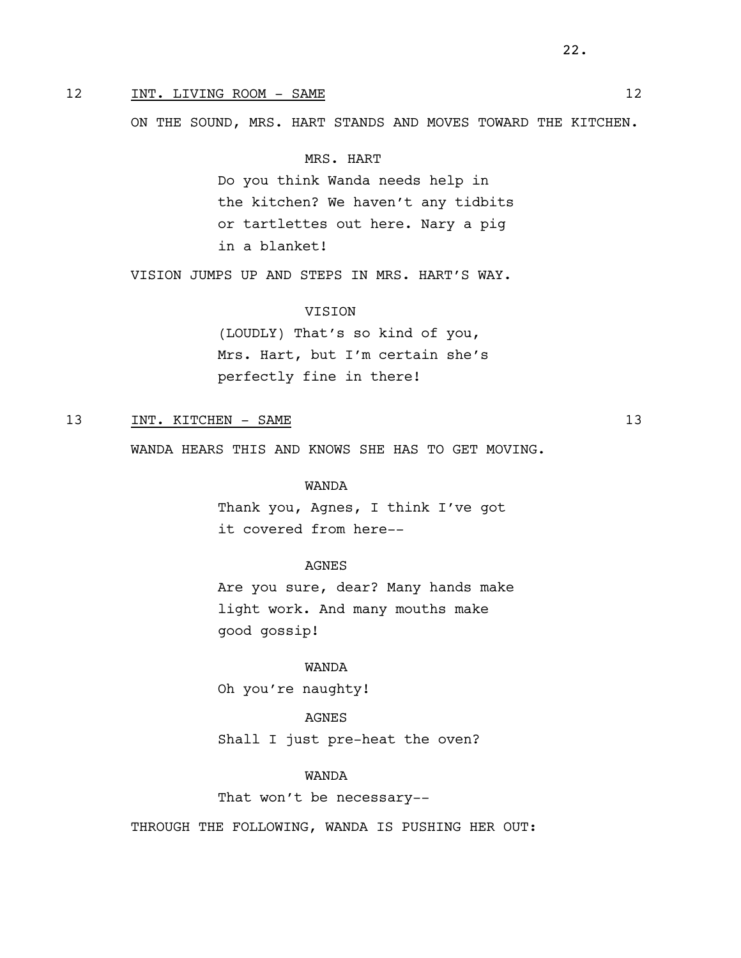# 12 INT. LIVING ROOM - SAME 12

ON THE SOUND, MRS. HART STANDS AND MOVES TOWARD THE KITCHEN.

# MRS. HART

Do you think Wanda needs help in the kitchen? We haven't any tidbits or tartlettes out here. Nary a pig in a blanket!

VISION JUMPS UP AND STEPS IN MRS. HART'S WAY.

### VISION

(LOUDLY) That's so kind of you, Mrs. Hart, but I'm certain she's perfectly fine in there!

# 13 INT. KITCHEN - SAME 13

WANDA HEARS THIS AND KNOWS SHE HAS TO GET MOVING.

# WANDA

Thank you, Agnes, I think I've got it covered from here--

# AGNES

Are you sure, dear? Many hands make light work. And many mouths make good gossip!

### WANDA

Oh you're naughty!

# AGNES

Shall I just pre-heat the oven?

#### WANDA

That won't be necessary--

THROUGH THE FOLLOWING, WANDA IS PUSHING HER OUT: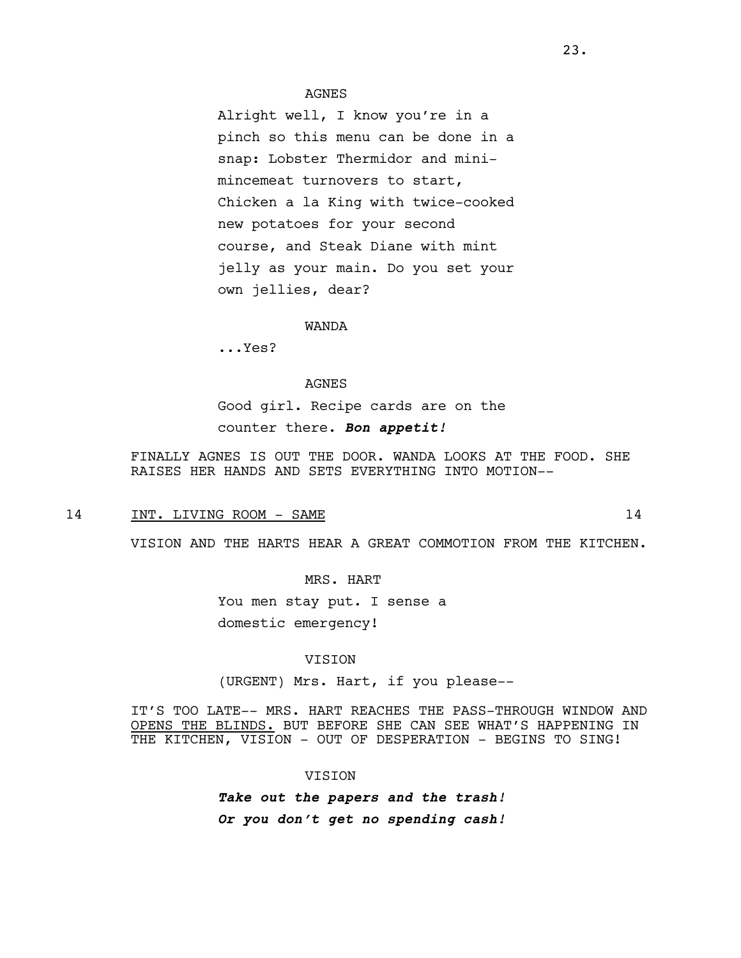### AGNES

Alright well, I know you're in a pinch so this menu can be done in a snap: Lobster Thermidor and minimincemeat turnovers to start, Chicken a la King with twice-cooked new potatoes for your second course, and Steak Diane with mint jelly as your main. Do you set your own jellies, dear?

### WANDA

...Yes?

#### AGNES

Good girl. Recipe cards are on the counter there. *Bon appetit!*

FINALLY AGNES IS OUT THE DOOR. WANDA LOOKS AT THE FOOD. SHE RAISES HER HANDS AND SETS EVERYTHING INTO MOTION--

#### 14 INT. LIVING ROOM - SAME 14

VISION AND THE HARTS HEAR A GREAT COMMOTION FROM THE KITCHEN.

MRS. HART

You men stay put. I sense a domestic emergency!

#### VISION

(URGENT) Mrs. Hart, if you please--

IT'S TOO LATE-- MRS. HART REACHES THE PASS-THROUGH WINDOW AND OPENS THE BLINDS. BUT BEFORE SHE CAN SEE WHAT'S HAPPENING IN THE KITCHEN, VISION - OUT OF DESPERATION - BEGINS TO SING!

#### VISION

*Take out the papers and the trash! Or you don't get no spending cash!*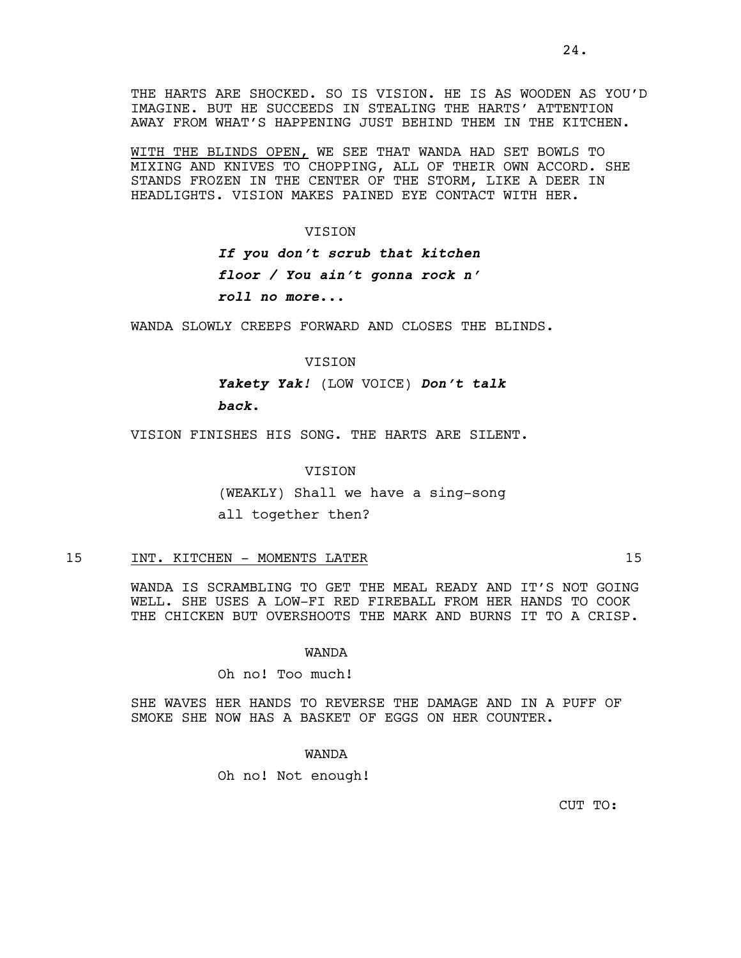THE HARTS ARE SHOCKED. SO IS VISION. HE IS AS WOODEN AS YOU'D IMAGINE. BUT HE SUCCEEDS IN STEALING THE HARTS' ATTENTION AWAY FROM WHAT'S HAPPENING JUST BEHIND THEM IN THE KITCHEN.

WITH THE BLINDS OPEN, WE SEE THAT WANDA HAD SET BOWLS TO MIXING AND KNIVES TO CHOPPING, ALL OF THEIR OWN ACCORD. SHE STANDS FROZEN IN THE CENTER OF THE STORM, LIKE A DEER IN HEADLIGHTS. VISION MAKES PAINED EYE CONTACT WITH HER.

VISION

*If you don't scrub that kitchen floor / You ain't gonna rock n' roll no more...* 

WANDA SLOWLY CREEPS FORWARD AND CLOSES THE BLINDS.

### VISION

*Yakety Yak!* (LOW VOICE) *Don't talk back.*

VISION FINISHES HIS SONG. THE HARTS ARE SILENT.

VISION

(WEAKLY) Shall we have a sing-song all together then?

### 15 INT. KITCHEN - MOMENTS LATER 15

WANDA IS SCRAMBLING TO GET THE MEAL READY AND IT'S NOT GOING WELL. SHE USES A LOW-FI RED FIREBALL FROM HER HANDS TO COOK THE CHICKEN BUT OVERSHOOTS THE MARK AND BURNS IT TO A CRISP.

#### WANDA

Oh no! Too much!

SHE WAVES HER HANDS TO REVERSE THE DAMAGE AND IN A PUFF OF SMOKE SHE NOW HAS A BASKET OF EGGS ON HER COUNTER.

#### WANDA

Oh no! Not enough!

CUT TO: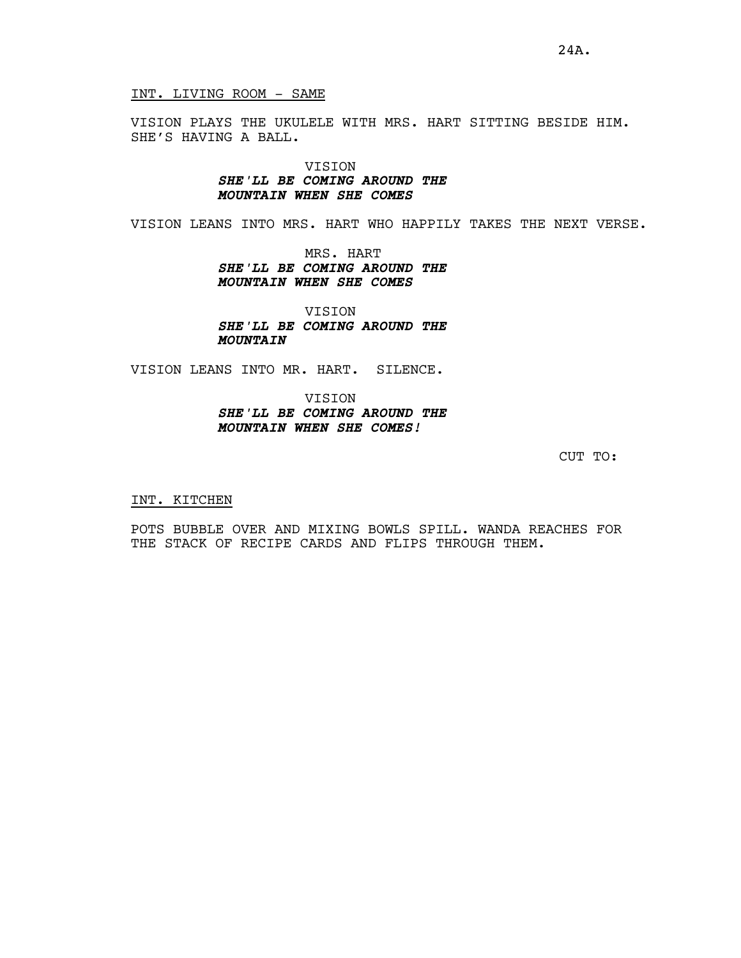### INT. LIVING ROOM - SAME

VISION PLAYS THE UKULELE WITH MRS. HART SITTING BESIDE HIM. SHE'S HAVING A BALL.

### VISION *SHE'LL BE COMING AROUND THE MOUNTAIN WHEN SHE COMES*

VISION LEANS INTO MRS. HART WHO HAPPILY TAKES THE NEXT VERSE.

MRS. HART *SHE'LL BE COMING AROUND THE MOUNTAIN WHEN SHE COMES*

VISION *SHE'LL BE COMING AROUND THE MOUNTAIN*

VISION LEANS INTO MR. HART. SILENCE.

# VISION *SHE'LL BE COMING AROUND THE MOUNTAIN WHEN SHE COMES!*

CUT TO:

#### INT. KITCHEN

POTS BUBBLE OVER AND MIXING BOWLS SPILL. WANDA REACHES FOR THE STACK OF RECIPE CARDS AND FLIPS THROUGH THEM.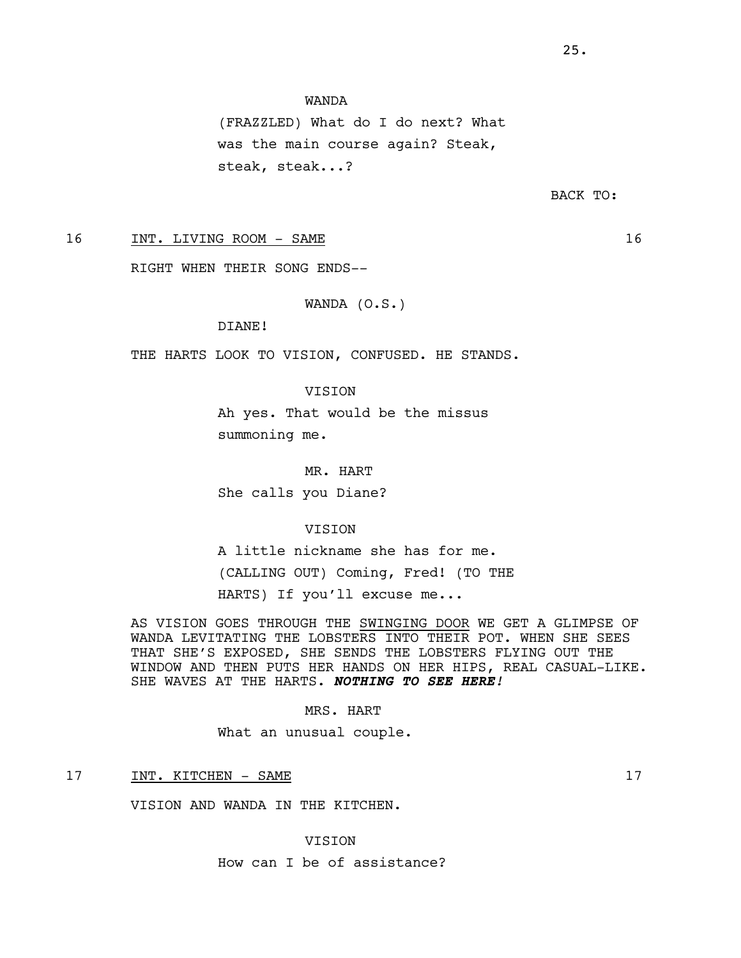(FRAZZLED) What do I do next? What was the main course again? Steak, steak, steak...?

BACK TO:

16 INT. LIVING ROOM - SAME 16

RIGHT WHEN THEIR SONG ENDS--

WANDA (O.S.)

DIANE!

THE HARTS LOOK TO VISION, CONFUSED. HE STANDS.

#### VISION

Ah yes. That would be the missus summoning me.

MR. HART

She calls you Diane?

### **VISION**

A little nickname she has for me. (CALLING OUT) Coming, Fred! (TO THE HARTS) If you'll excuse me...

AS VISION GOES THROUGH THE SWINGING DOOR WE GET A GLIMPSE OF WANDA LEVITATING THE LOBSTERS INTO THEIR POT. WHEN SHE SEES THAT SHE'S EXPOSED, SHE SENDS THE LOBSTERS FLYING OUT THE WINDOW AND THEN PUTS HER HANDS ON HER HIPS, REAL CASUAL-LIKE. SHE WAVES AT THE HARTS. *NOTHING TO SEE HERE!*

#### MRS. HART

What an unusual couple.

### 17 INT. KITCHEN – SAME 17

VISION AND WANDA IN THE KITCHEN.

# VISION

How can I be of assistance?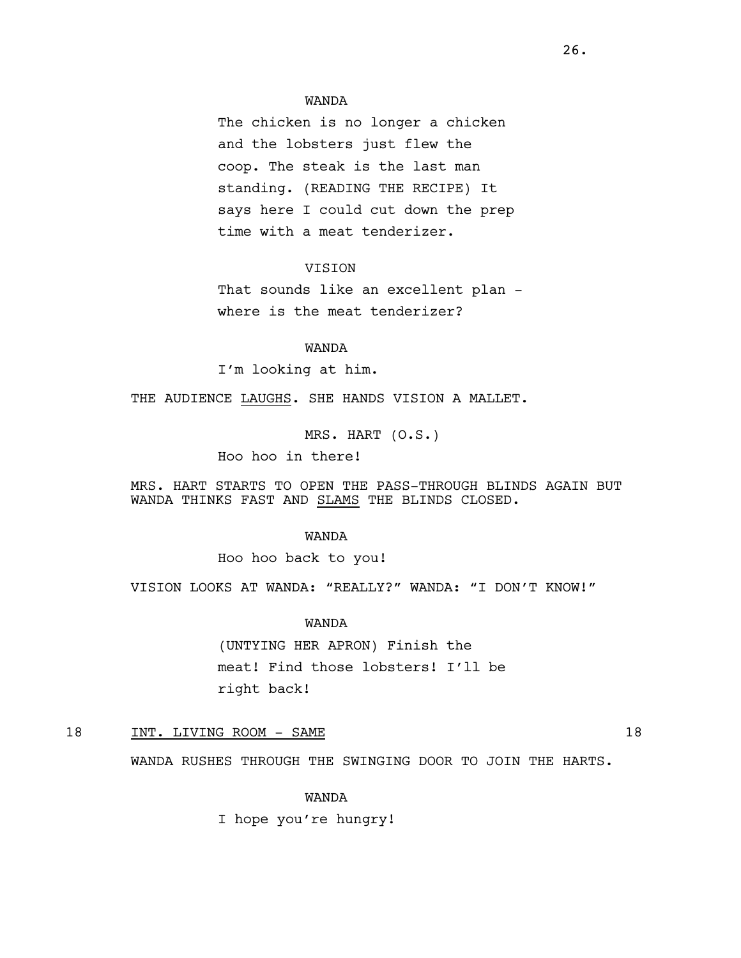The chicken is no longer a chicken and the lobsters just flew the coop. The steak is the last man standing. (READING THE RECIPE) It says here I could cut down the prep time with a meat tenderizer.

# VISION

That sounds like an excellent plan where is the meat tenderizer?

### WANDA

I'm looking at him.

THE AUDIENCE LAUGHS. SHE HANDS VISION A MALLET.

MRS. HART (O.S.)

Hoo hoo in there!

MRS. HART STARTS TO OPEN THE PASS-THROUGH BLINDS AGAIN BUT WANDA THINKS FAST AND SLAMS THE BLINDS CLOSED.

### WANDA

Hoo hoo back to you!

VISION LOOKS AT WANDA: "REALLY?" WANDA: "I DON'T KNOW!"

### WANDA

(UNTYING HER APRON) Finish the meat! Find those lobsters! I'll be right back!

18 INT. LIVING ROOM - SAME 18

WANDA RUSHES THROUGH THE SWINGING DOOR TO JOIN THE HARTS.

WANDA

I hope you're hungry!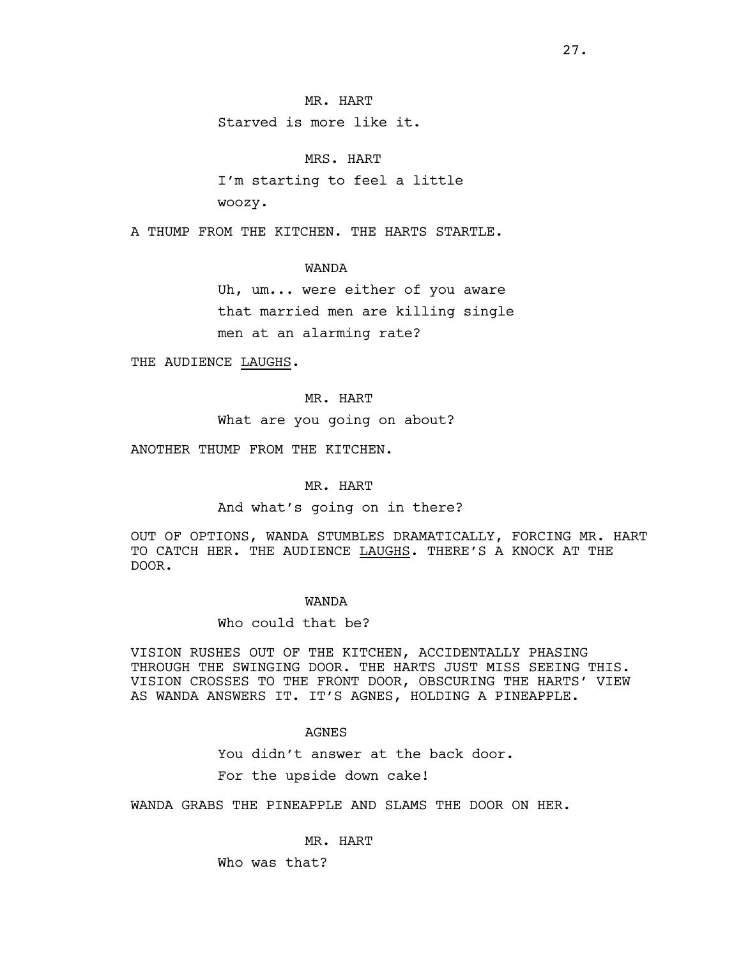Starved is more like it.

### MRS. HART

I'm starting to feel a little woozy.

A THUMP FROM THE KITCHEN. THE HARTS STARTLE.

### WANDA

Uh, um... were either of you aware that married men are killing single men at an alarming rate?

THE AUDIENCE LAUGHS.

### MR. HART

What are you going on about?

ANOTHER THUMP FROM THE KITCHEN.

#### MR. HART

#### And what's going on in there?

OUT OF OPTIONS, WANDA STUMBLES DRAMATICALLY, FORCING MR. HART TO CATCH HER. THE AUDIENCE LAUGHS. THERE'S A KNOCK AT THE DOOR.

#### WANDA

#### Who could that be?

VISION RUSHES OUT OF THE KITCHEN, ACCIDENTALLY PHASING THROUGH THE SWINGING DOOR. THE HARTS JUST MISS SEEING THIS. VISION CROSSES TO THE FRONT DOOR, OBSCURING THE HARTS' VIEW AS WANDA ANSWERS IT. IT'S AGNES, HOLDING A PINEAPPLE.

### AGNES

You didn't answer at the back door.

For the upside down cake!

WANDA GRABS THE PINEAPPLE AND SLAMS THE DOOR ON HER.

### MR. HART

Who was that?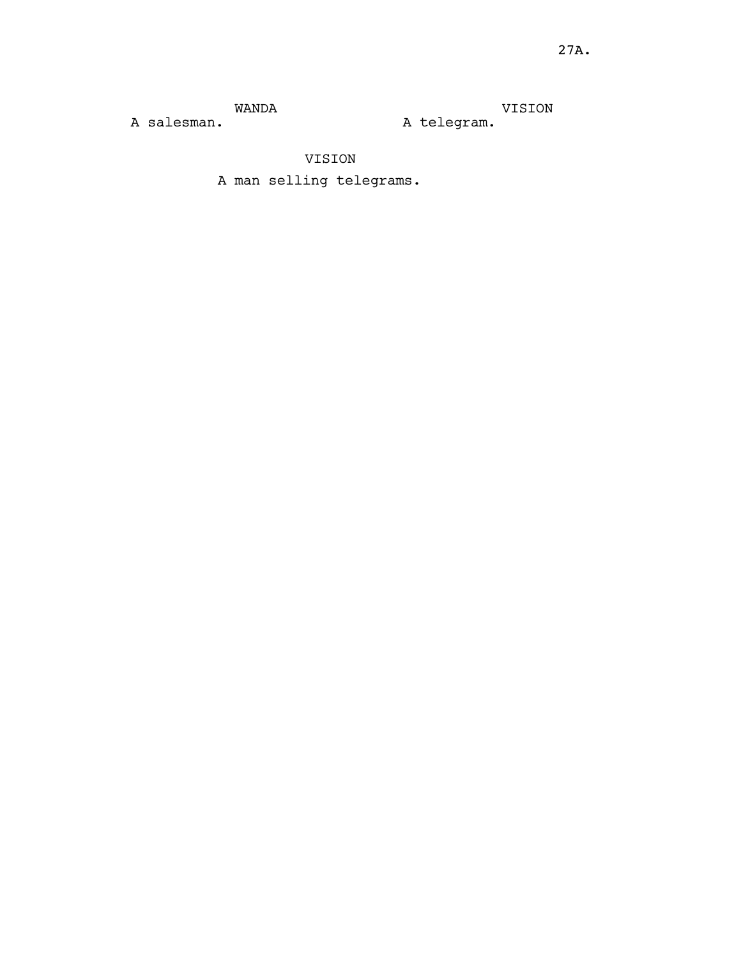VISION A telegram.

A salesman.

VISION

A man selling telegrams.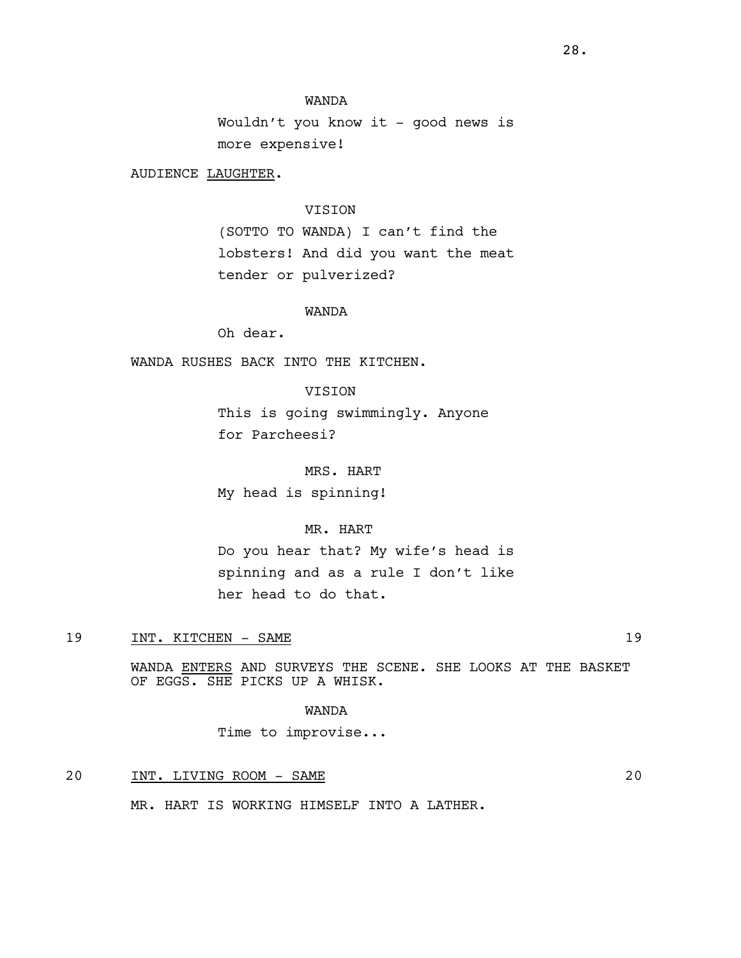Wouldn't you know it - good news is more expensive!

AUDIENCE LAUGHTER.

# VISION

(SOTTO TO WANDA) I can't find the lobsters! And did you want the meat tender or pulverized?

### WANDA

Oh dear.

# WANDA RUSHES BACK INTO THE KITCHEN.

### VISION

This is going swimmingly. Anyone for Parcheesi?

#### MRS. HART

My head is spinning!

# MR. HART

Do you hear that? My wife's head is spinning and as a rule I don't like her head to do that.

# 19 INT. KITCHEN – SAME 19

WANDA ENTERS AND SURVEYS THE SCENE. SHE LOOKS AT THE BASKET OF EGGS. SHE PICKS UP A WHISK.

#### WANDA

Time to improvise...

# 20 INT. LIVING ROOM - SAME

MR. HART IS WORKING HIMSELF INTO A LATHER.

28.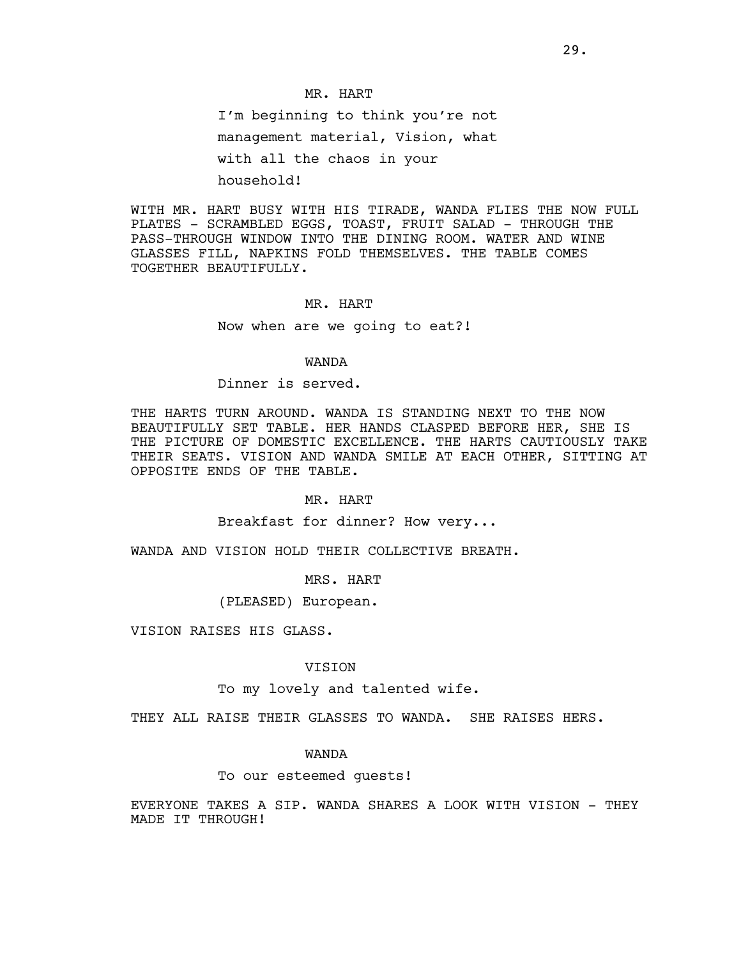I'm beginning to think you're not management material, Vision, what with all the chaos in your household!

WITH MR. HART BUSY WITH HIS TIRADE, WANDA FLIES THE NOW FULL PLATES - SCRAMBLED EGGS, TOAST, FRUIT SALAD - THROUGH THE PASS-THROUGH WINDOW INTO THE DINING ROOM. WATER AND WINE GLASSES FILL, NAPKINS FOLD THEMSELVES. THE TABLE COMES TOGETHER BEAUTIFULLY.

#### MR. HART

Now when are we going to eat?!

### WANDA

Dinner is served.

THE HARTS TURN AROUND. WANDA IS STANDING NEXT TO THE NOW BEAUTIFULLY SET TABLE. HER HANDS CLASPED BEFORE HER, SHE IS THE PICTURE OF DOMESTIC EXCELLENCE. THE HARTS CAUTIOUSLY TAKE THEIR SEATS. VISION AND WANDA SMILE AT EACH OTHER, SITTING AT OPPOSITE ENDS OF THE TABLE.

#### MR. HART

Breakfast for dinner? How very...

WANDA AND VISION HOLD THEIR COLLECTIVE BREATH.

MRS. HART

(PLEASED) European.

VISION RAISES HIS GLASS.

#### VISION

To my lovely and talented wife.

THEY ALL RAISE THEIR GLASSES TO WANDA. SHE RAISES HERS.

#### WANDA

To our esteemed guests!

EVERYONE TAKES A SIP. WANDA SHARES A LOOK WITH VISION - THEY MADE IT THROUGH!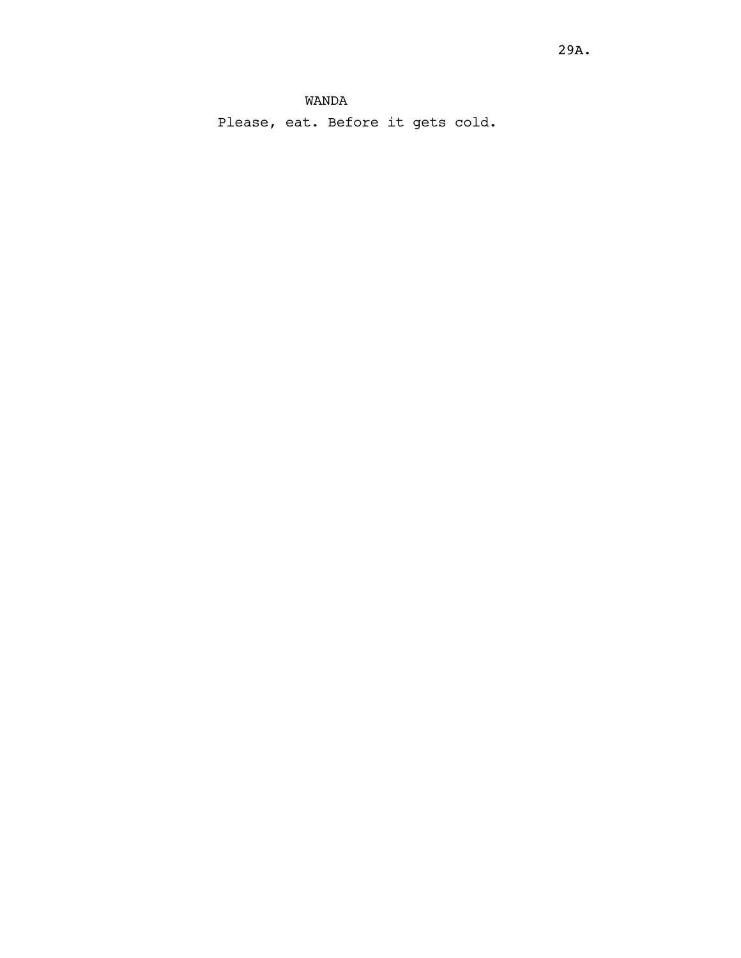Please, eat. Before it gets cold.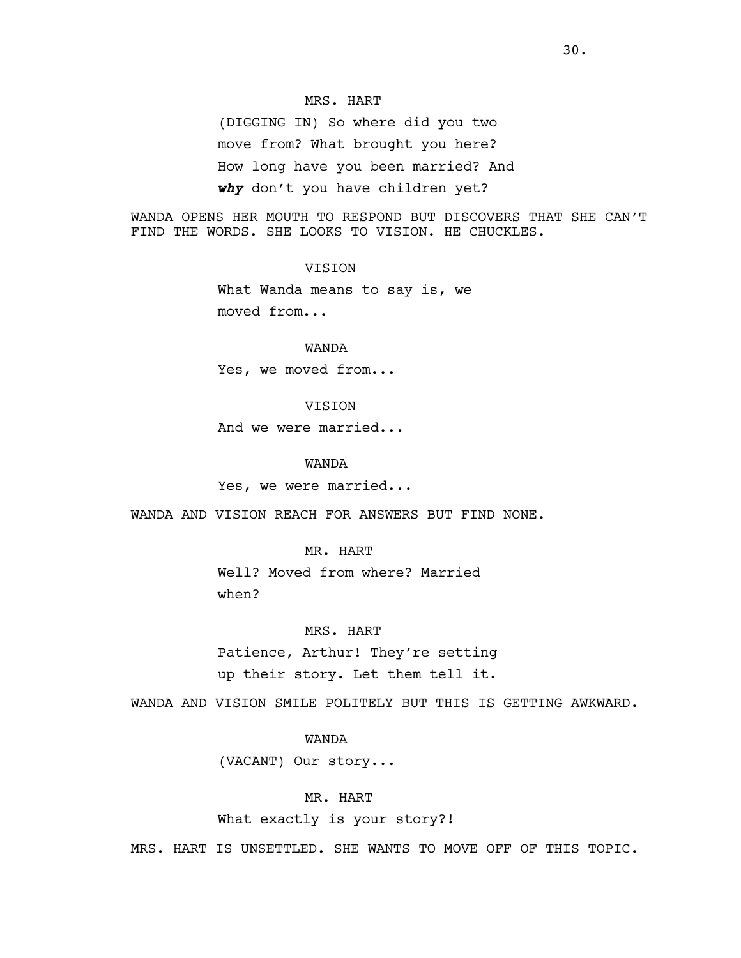### MRS. HART

(DIGGING IN) So where did you two move from? What brought you here? How long have you been married? And *why* don't you have children yet?

WANDA OPENS HER MOUTH TO RESPOND BUT DISCOVERS THAT SHE CAN'T FIND THE WORDS. SHE LOOKS TO VISION. HE CHUCKLES.

# VISION

What Wanda means to say is, we moved from...

### WANDA

Yes, we moved from...

### VISION

And we were married...

### WANDA

Yes, we were married...

WANDA AND VISION REACH FOR ANSWERS BUT FIND NONE.

MR. HART

Well? Moved from where? Married when?

MRS. HART

Patience, Arthur! They're setting up their story. Let them tell it.

WANDA AND VISION SMILE POLITELY BUT THIS IS GETTING AWKWARD.

# WANDA

(VACANT) Our story...

### MR. HART

What exactly is your story?!

MRS. HART IS UNSETTLED. SHE WANTS TO MOVE OFF OF THIS TOPIC.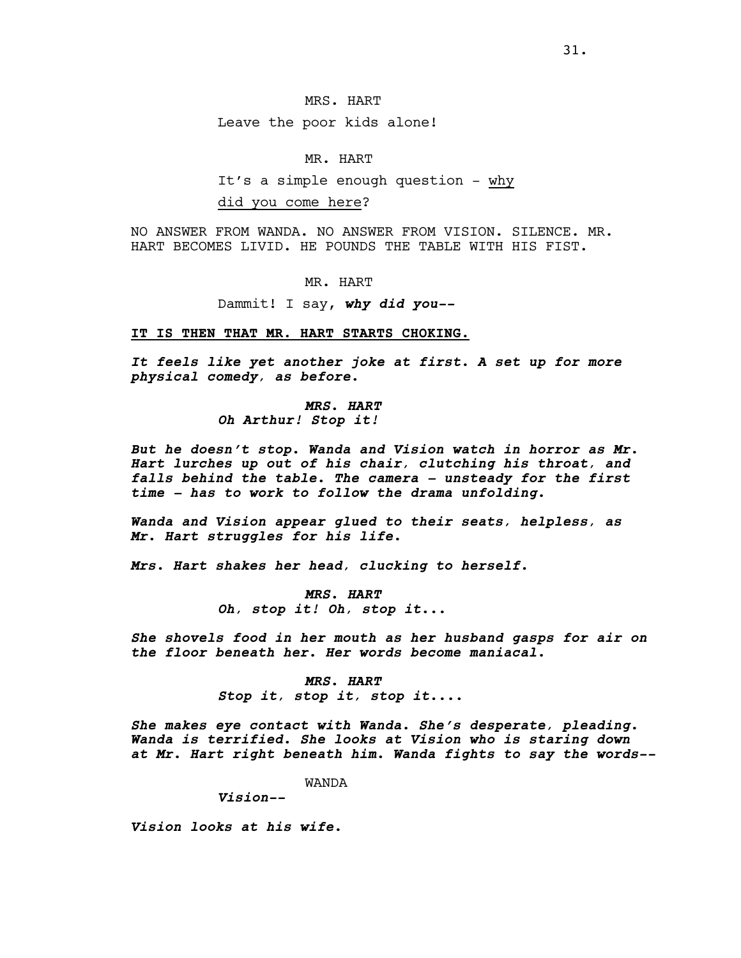#### MRS. HART

Leave the poor kids alone!

### MR. HART

It's a simple enough question - why

did you come here?

NO ANSWER FROM WANDA. NO ANSWER FROM VISION. SILENCE. MR. HART BECOMES LIVID. HE POUNDS THE TABLE WITH HIS FIST.

MR. HART

Dammit! I say, *why did you--*

#### **IT IS THEN THAT MR. HART STARTS CHOKING.**

*It feels like yet another joke at first. A set up for more physical comedy, as before.* 

> *MRS. HART Oh Arthur! Stop it!*

*But he doesn't stop. Wanda and Vision watch in horror as Mr. Hart lurches up out of his chair, clutching his throat, and falls behind the table. The camera – unsteady for the first time – has to work to follow the drama unfolding.* 

*Wanda and Vision appear glued to their seats, helpless, as Mr. Hart struggles for his life.* 

*Mrs. Hart shakes her head, clucking to herself.*

*MRS. HART Oh, stop it! Oh, stop it...*

*She shovels food in her mouth as her husband gasps for air on the floor beneath her. Her words become maniacal.*

> *MRS. HART Stop it, stop it, stop it....*

*She makes eye contact with Wanda. She's desperate, pleading. Wanda is terrified. She looks at Vision who is staring down at Mr. Hart right beneath him. Wanda fights to say the words--*

WANDA

*Vision--* 

*Vision looks at his wife.*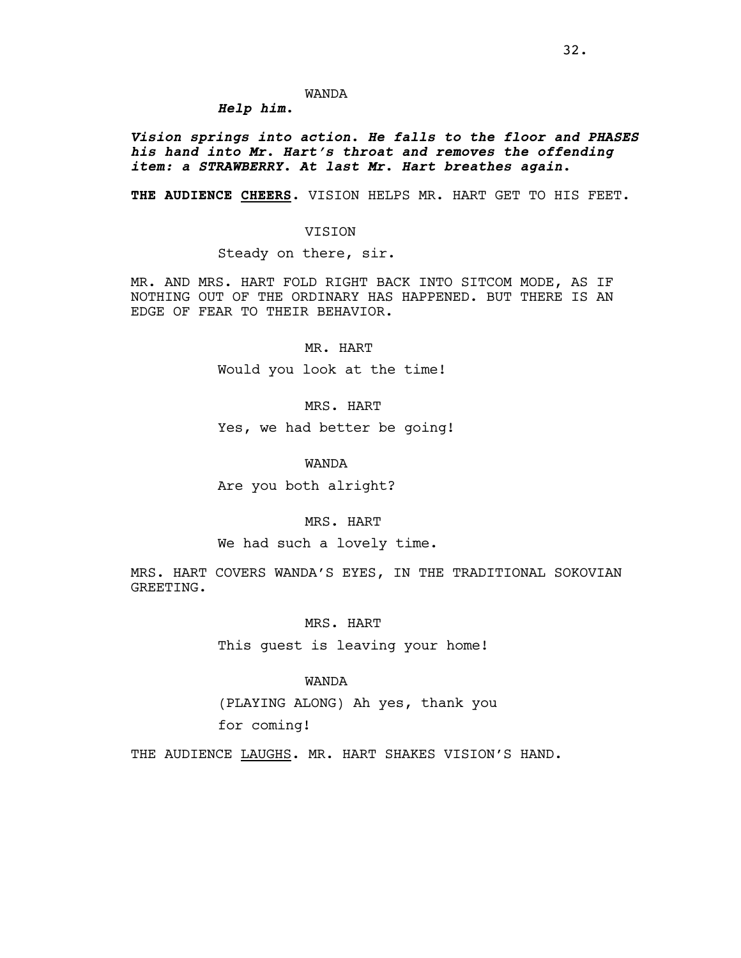*Help him.*

*Vision springs into action. He falls to the floor and PHASES his hand into Mr. Hart's throat and removes the offending item: a STRAWBERRY. At last Mr. Hart breathes again.* 

**THE AUDIENCE CHEERS.** VISION HELPS MR. HART GET TO HIS FEET.

#### VISION

Steady on there, sir.

MR. AND MRS. HART FOLD RIGHT BACK INTO SITCOM MODE, AS IF NOTHING OUT OF THE ORDINARY HAS HAPPENED. BUT THERE IS AN EDGE OF FEAR TO THEIR BEHAVIOR.

#### MR. HART

Would you look at the time!

MRS. HART

Yes, we had better be going!

### WANDA

Are you both alright?

### MRS. HART

We had such a lovely time.

MRS. HART COVERS WANDA'S EYES, IN THE TRADITIONAL SOKOVIAN GREETING.

### MRS. HART

This guest is leaving your home!

# WANDA

(PLAYING ALONG) Ah yes, thank you for coming!

THE AUDIENCE LAUGHS. MR. HART SHAKES VISION'S HAND.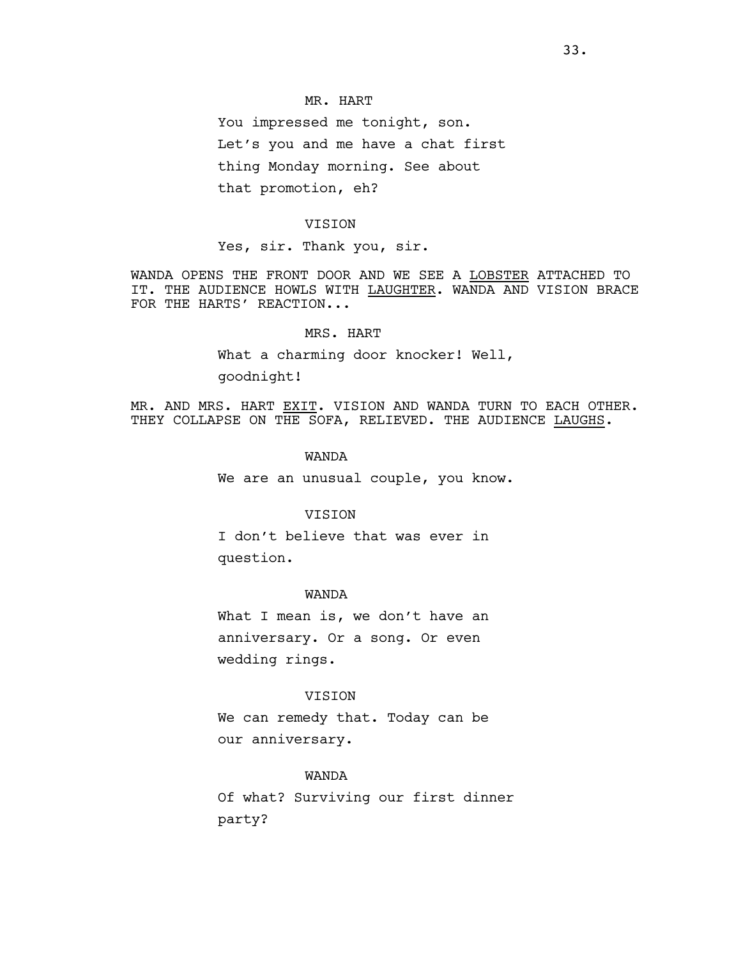### MR. HART

You impressed me tonight, son. Let's you and me have a chat first thing Monday morning. See about that promotion, eh?

#### VISION

Yes, sir. Thank you, sir.

WANDA OPENS THE FRONT DOOR AND WE SEE A LOBSTER ATTACHED TO IT. THE AUDIENCE HOWLS WITH LAUGHTER. WANDA AND VISION BRACE FOR THE HARTS' REACTION...

### MRS. HART

What a charming door knocker! Well,

goodnight!

MR. AND MRS. HART EXIT. VISION AND WANDA TURN TO EACH OTHER. THEY COLLAPSE ON THE SOFA, RELIEVED. THE AUDIENCE LAUGHS.

#### WANDA

We are an unusual couple, you know.

#### **VISION**

I don't believe that was ever in question.

#### WANDA

What I mean is, we don't have an anniversary. Or a song. Or even wedding rings.

### VISION

We can remedy that. Today can be our anniversary.

#### WANDA

Of what? Surviving our first dinner party?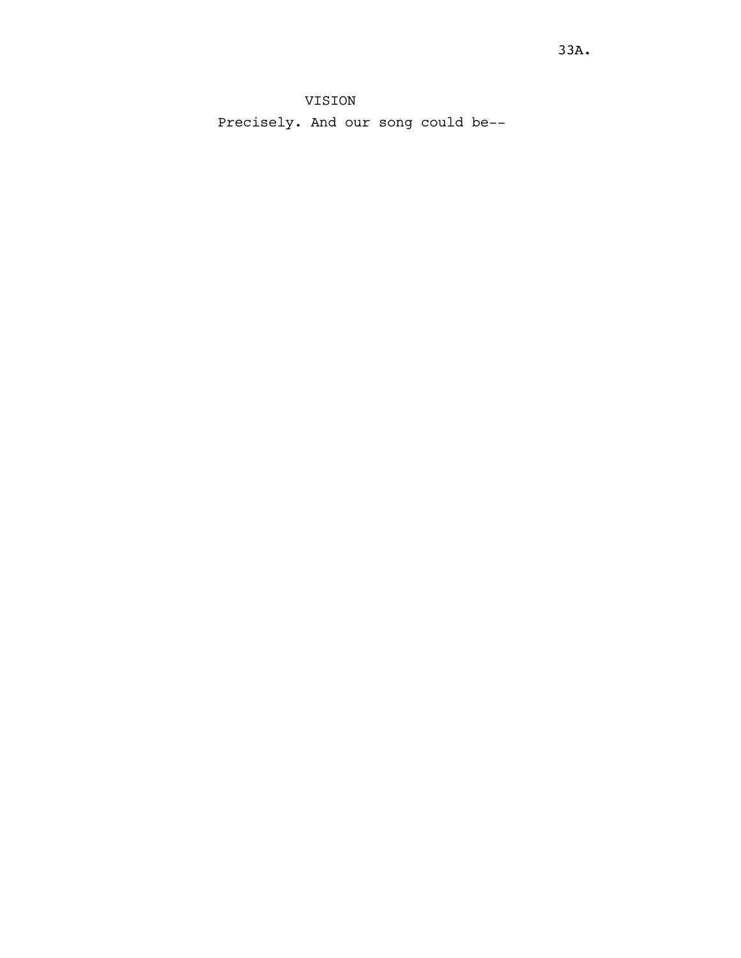# VISION

Precisely. And our song could be--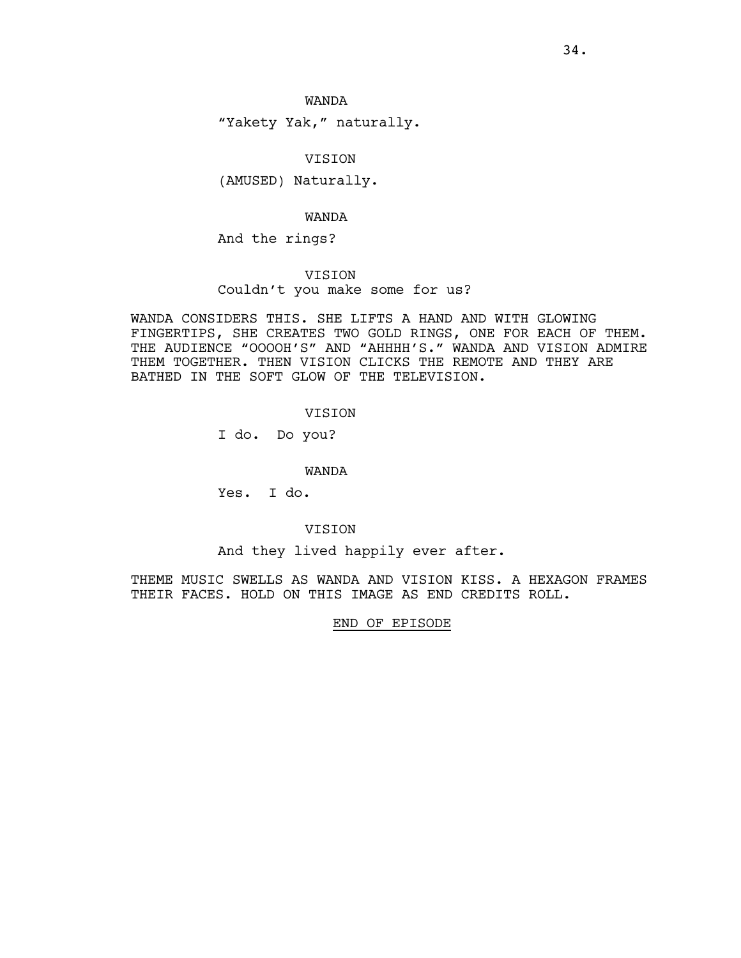"Yakety Yak," naturally.

# VISION

(AMUSED) Naturally.

#### WANDA

And the rings?

#### VISION

Couldn't you make some for us?

WANDA CONSIDERS THIS. SHE LIFTS A HAND AND WITH GLOWING FINGERTIPS, SHE CREATES TWO GOLD RINGS, ONE FOR EACH OF THEM. THE AUDIENCE "OOOOH'S" AND "AHHHH'S." WANDA AND VISION ADMIRE THEM TOGETHER. THEN VISION CLICKS THE REMOTE AND THEY ARE BATHED IN THE SOFT GLOW OF THE TELEVISION.

### VISION

I do. Do you?

#### WANDA

Yes. I do.

### VISION

### And they lived happily ever after.

THEME MUSIC SWELLS AS WANDA AND VISION KISS. A HEXAGON FRAMES THEIR FACES. HOLD ON THIS IMAGE AS END CREDITS ROLL.

### END OF EPISODE